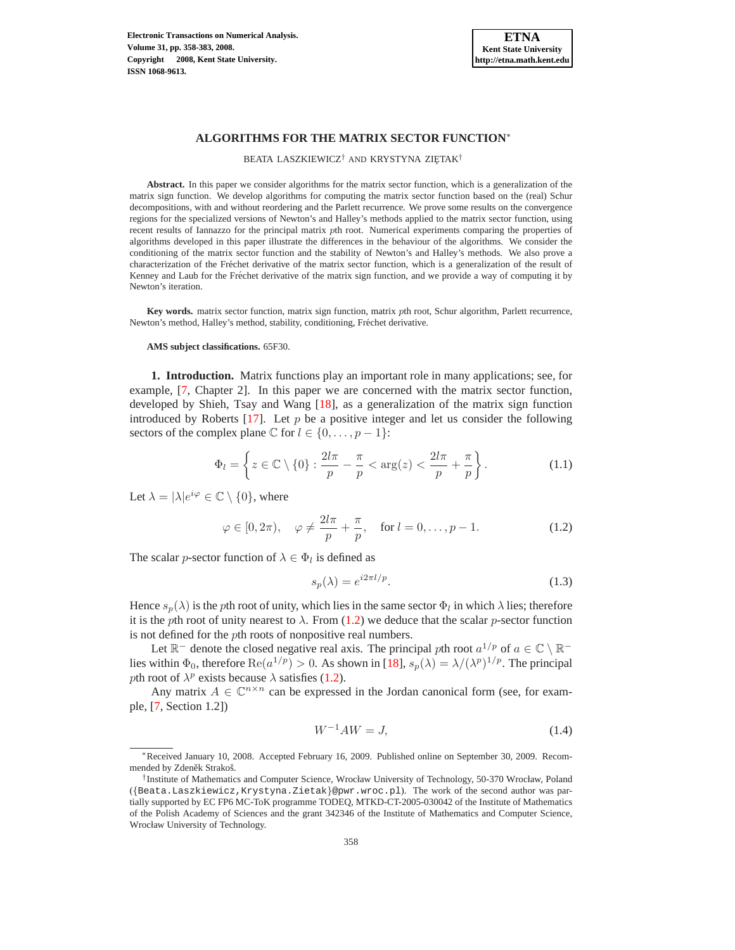

BEATA LASZKIEWICZ<sup>†</sup> AND KRYSTYNA ZIĘTAK<sup>†</sup>

**Abstract.** In this paper we consider algorithms for the matrix sector function, which is a generalization of the matrix sign function. We develop algorithms for computing the matrix sector function based on the (real) Schur decompositions, with and without reordering and the Parlett recurrence. We prove some results on the convergence regions for the specialized versions of Newton's and Halley's methods applied to the matrix sector function, using recent results of Iannazzo for the principal matrix pth root. Numerical experiments comparing the properties of algorithms developed in this paper illustrate the differences in the behaviour of the algorithms. We consider the conditioning of the matrix sector function and the stability of Newton's and Halley's methods. We also prove a characterization of the Fréchet derivative of the matrix sector function, which is a generalization of the result of Kenney and Laub for the Fréchet derivative of the matrix sign function, and we provide a way of computing it by Newton's iteration.

**Key words.** matrix sector function, matrix sign function, matrix pth root, Schur algorithm, Parlett recurrence, Newton's method, Halley's method, stability, conditioning, Fréchet derivative.

#### **AMS subject classifications.** 65F30.

**1. Introduction.** Matrix functions play an important role in many applications; see, for example, [\[7,](#page-24-0) Chapter 2]. In this paper we are concerned with the matrix sector function, developed by Shieh, Tsay and Wang [\[18\]](#page-25-0), as a generalization of the matrix sign function introduced by Roberts [\[17\]](#page-25-1). Let  $p$  be a positive integer and let us consider the following sectors of the complex plane  $\mathbb C$  for  $l \in \{0, \ldots, p-1\}$ :

$$
\Phi_l = \left\{ z \in \mathbb{C} \setminus \{0\} : \frac{2l\pi}{p} - \frac{\pi}{p} < \arg(z) < \frac{2l\pi}{p} + \frac{\pi}{p} \right\}.
$$
\n(1.1)

<span id="page-0-3"></span><span id="page-0-0"></span>Let  $\lambda = |\lambda|e^{i\varphi} \in \mathbb{C} \setminus \{0\}$ , where

<span id="page-0-2"></span>
$$
\varphi \in [0, 2\pi), \quad \varphi \neq \frac{2l\pi}{p} + \frac{\pi}{p}, \quad \text{for } l = 0, \dots, p - 1.
$$
\n(1.2)

The scalar *p*-sector function of  $\lambda \in \Phi_l$  is defined as

$$
s_p(\lambda) = e^{i2\pi l/p}.\tag{1.3}
$$

Hence  $s_p(\lambda)$  is the pth root of unity, which lies in the same sector  $\Phi_l$  in which  $\lambda$  lies; therefore it is the pth root of unity nearest to  $\lambda$ . From [\(1.2\)](#page-0-0) we deduce that the scalar p-sector function is not defined for the pth roots of nonpositive real numbers.

Let  $\mathbb{R}^-$  denote the closed negative real axis. The principal pth root  $a^{1/p}$  of  $a \in \mathbb{C} \setminus \mathbb{R}^$ lies within  $\Phi_0$ , therefore  $\text{Re}(a^{1/p}) > 0$ . As shown in [\[18\]](#page-25-0),  $s_p(\lambda) = \lambda/(\lambda^p)^{1/p}$ . The principal pth root of  $\lambda^p$  exists because  $\lambda$  satisfies [\(1.2\)](#page-0-0).

Any matrix  $A \in \mathbb{C}^{n \times n}$  can be expressed in the Jordan canonical form (see, for example, [\[7,](#page-24-0) Section 1.2])

<span id="page-0-1"></span>
$$
W^{-1}AW = J,\t\t(1.4)
$$

<sup>∗</sup>Received January 10, 2008. Accepted February 16, 2009. Published online on September 30, 2009. Recommended by Zdeněk Strakoš.

<sup>†</sup> Institute of Mathematics and Computer Science, Wrocław University of Technology, 50-370 Wrocław, Poland ({Beata.Laszkiewicz,Krystyna.Zietak}@pwr.wroc.pl). The work of the second author was partially supported by EC FP6 MC-ToK programme TODEQ, MTKD-CT-2005-030042 of the Institute of Mathematics of the Polish Academy of Sciences and the grant 342346 of the Institute of Mathematics and Computer Science, Wrocław University of Technology.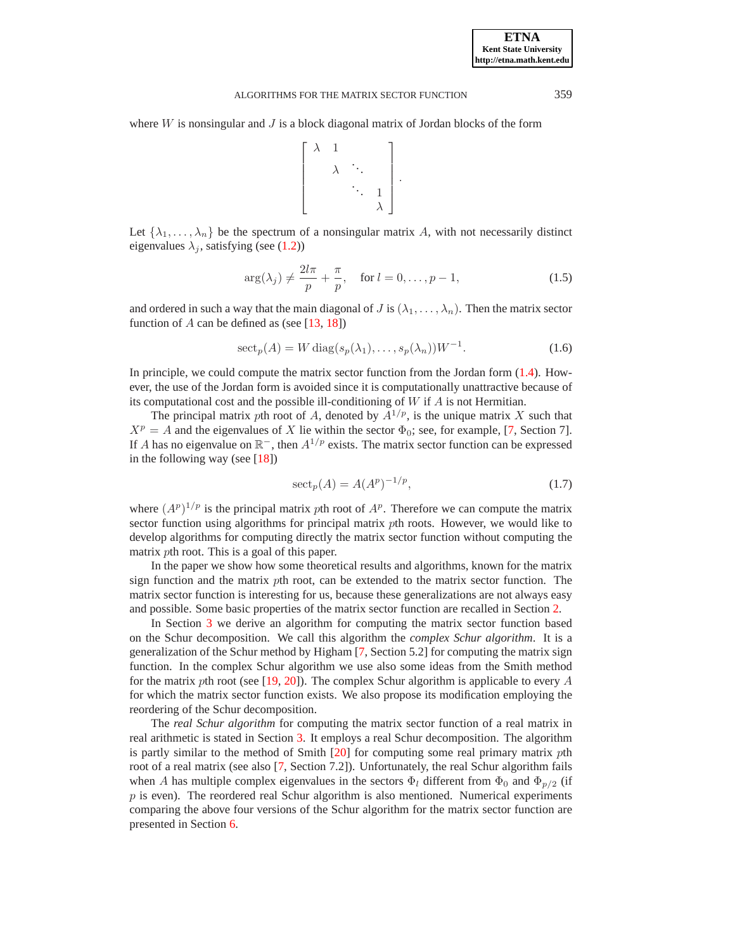where  $W$  is nonsingular and  $J$  is a block diagonal matrix of Jordan blocks of the form

$$
\left[\begin{array}{cccc} \lambda & 1 & & \\ & \lambda & \ddots & \\ & & \ddots & 1 \\ & & & \lambda \end{array}\right]
$$

Let  $\{\lambda_1, \ldots, \lambda_n\}$  be the spectrum of a nonsingular matrix A, with not necessarily distinct eigenvalues  $\lambda_i$ , satisfying (see [\(1.2\)](#page-0-0))

$$
\arg(\lambda_j) \neq \frac{2l\pi}{p} + \frac{\pi}{p}, \quad \text{for } l = 0, \dots, p-1,
$$
\n(1.5)

.

<span id="page-1-2"></span>and ordered in such a way that the main diagonal of J is  $(\lambda_1, \dots, \lambda_n)$ . Then the matrix sector function of  $A$  can be defined as (see [\[13,](#page-24-1) [18\]](#page-25-0))

$$
\operatorname{sect}_p(A) = W \operatorname{diag}(s_p(\lambda_1), \dots, s_p(\lambda_n)) W^{-1}.
$$
 (1.6)

<span id="page-1-0"></span>In principle, we could compute the matrix sector function from the Jordan form [\(1.4\)](#page-0-1). However, the use of the Jordan form is avoided since it is computationally unattractive because of its computational cost and the possible ill-conditioning of  $W$  if  $\overline{A}$  is not Hermitian.

The principal matrix pth root of A, denoted by  $A^{1/p}$ , is the unique matrix X such that  $X^p = A$  and the eigenvalues of X lie within the sector  $\Phi_0$ ; see, for example, [\[7,](#page-24-0) Section 7]. If A has no eigenvalue on  $\mathbb{R}^-$ , then  $A^{1/p}$  exists. The matrix sector function can be expressed in the following way (see [\[18\]](#page-25-0))

$$
\operatorname{sect}_p(A) = A(A^p)^{-1/p},\tag{1.7}
$$

<span id="page-1-1"></span>where  $(A^p)^{1/p}$  is the principal matrix pth root of  $A^p$ . Therefore we can compute the matrix sector function using algorithms for principal matrix *pth* roots. However, we would like to develop algorithms for computing directly the matrix sector function without computing the matrix pth root. This is a goal of this paper.

In the paper we show how some theoretical results and algorithms, known for the matrix sign function and the matrix pth root, can be extended to the matrix sector function. The matrix sector function is interesting for us, because these generalizations are not always easy and possible. Some basic properties of the matrix sector function are recalled in Section [2.](#page-2-0)

In Section [3](#page-3-0) we derive an algorithm for computing the matrix sector function based on the Schur decomposition. We call this algorithm the *complex Schur algorithm*. It is a generalization of the Schur method by Higham [\[7,](#page-24-0) Section 5.2] for computing the matrix sign function. In the complex Schur algorithm we use also some ideas from the Smith method for the matrix pth root (see [\[19,](#page-25-2) [20\]](#page-25-3)). The complex Schur algorithm is applicable to every A for which the matrix sector function exists. We also propose its modification employing the reordering of the Schur decomposition.

The *real Schur algorithm* for computing the matrix sector function of a real matrix in real arithmetic is stated in Section [3.](#page-3-0) It employs a real Schur decomposition. The algorithm is partly similar to the method of Smith [\[20\]](#page-25-3) for computing some real primary matrix pth root of a real matrix (see also [\[7,](#page-24-0) Section 7.2]). Unfortunately, the real Schur algorithm fails when A has multiple complex eigenvalues in the sectors  $\Phi_l$  different from  $\Phi_0$  and  $\Phi_{p/2}$  (if  $p$  is even). The reordered real Schur algorithm is also mentioned. Numerical experiments comparing the above four versions of the Schur algorithm for the matrix sector function are presented in Section [6.](#page-16-0)

**ETNA Kent State University http://etna.math.kent.edu**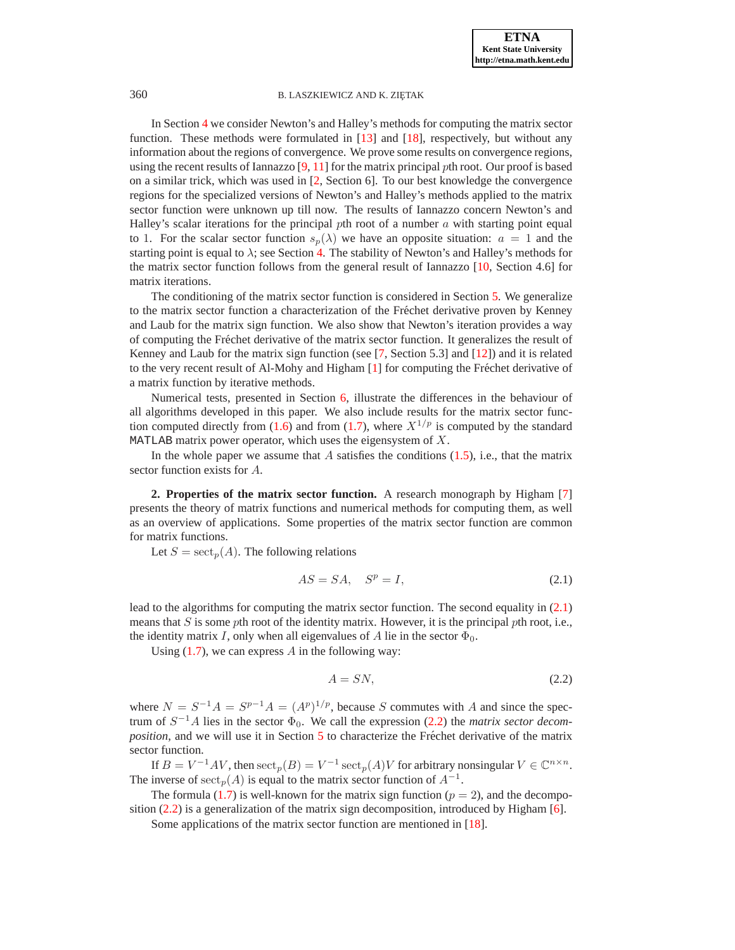In Section [4](#page-8-0) we consider Newton's and Halley's methods for computing the matrix sector function. These methods were formulated in [\[13\]](#page-24-1) and [\[18\]](#page-25-0), respectively, but without any information about the regions of convergence. We prove some results on convergence regions, using the recent results of Iannazzo  $[9, 11]$  $[9, 11]$  for the matrix principal pth root. Our proof is based on a similar trick, which was used in [\[2,](#page-24-4) Section 6]. To our best knowledge the convergence regions for the specialized versions of Newton's and Halley's methods applied to the matrix sector function were unknown up till now. The results of Iannazzo concern Newton's and Halley's scalar iterations for the principal pth root of a number  $\alpha$  with starting point equal to 1. For the scalar sector function  $s_n(\lambda)$  we have an opposite situation:  $a = 1$  and the starting point is equal to  $\lambda$ ; see Section [4.](#page-8-0) The stability of Newton's and Halley's methods for the matrix sector function follows from the general result of Iannazzo [\[10,](#page-24-5) Section 4.6] for matrix iterations.

The conditioning of the matrix sector function is considered in Section [5.](#page-13-0) We generalize to the matrix sector function a characterization of the Fréchet derivative proven by Kenney and Laub for the matrix sign function. We also show that Newton's iteration provides a way of computing the Fréchet derivative of the matrix sector function. It generalizes the result of Kenney and Laub for the matrix sign function (see [\[7,](#page-24-0) Section 5.3] and [\[12\]](#page-24-6)) and it is related to the very recent result of Al-Mohy and Higham [\[1\]](#page-24-7) for computing the Fréchet derivative of a matrix function by iterative methods.

Numerical tests, presented in Section [6,](#page-16-0) illustrate the differences in the behaviour of all algorithms developed in this paper. We also include results for the matrix sector func-tion computed directly from [\(1.6\)](#page-1-0) and from [\(1.7\)](#page-1-1), where  $X^{1/p}$  is computed by the standard MATLAB matrix power operator, which uses the eigensystem of  $X$ .

In the whole paper we assume that  $\tilde{A}$  satisfies the conditions [\(1.5\)](#page-1-2), i.e., that the matrix sector function exists for A.

<span id="page-2-0"></span>**2. Properties of the matrix sector function.** A research monograph by Higham [\[7\]](#page-24-0) presents the theory of matrix functions and numerical methods for computing them, as well as an overview of applications. Some properties of the matrix sector function are common for matrix functions.

<span id="page-2-1"></span>Let  $S = \operatorname{sect}_p(A)$ . The following relations

$$
AS = SA, \quad S^p = I,\tag{2.1}
$$

lead to the algorithms for computing the matrix sector function. The second equality in [\(2.1\)](#page-2-1) means that  $S$  is some pth root of the identity matrix. However, it is the principal pth root, i.e., the identity matrix I, only when all eigenvalues of A lie in the sector  $\Phi_0$ .

Using  $(1.7)$ , we can express A in the following way:

<span id="page-2-2"></span>
$$
A = SN,\t(2.2)
$$

where  $N = S^{-1}A = S^{p-1}A = (A^p)^{1/p}$ , because S commutes with A and since the spectrum of  $S^{-1}A$  lies in the sector  $\Phi_0$ . We call the expression [\(2.2\)](#page-2-2) the *matrix sector decomposition*, and we will use it in Section [5](#page-13-0) to characterize the Fréchet derivative of the matrix sector function.

If  $B = V^{-1}AV$ , then  $\mathrm{sect}_p(B) = V^{-1} \mathrm{sect}_p(A)V$  for arbitrary nonsingular  $V \in \mathbb{C}^{n \times n}$ . The inverse of  $\operatorname{sect}_p(A)$  is equal to the matrix sector function of  $A^{-1}$ .

The formula [\(1.7\)](#page-1-1) is well-known for the matrix sign function ( $p = 2$ ), and the decomposition  $(2.2)$  is a generalization of the matrix sign decomposition, introduced by Higham  $[6]$ .

Some applications of the matrix sector function are mentioned in [\[18\]](#page-25-0).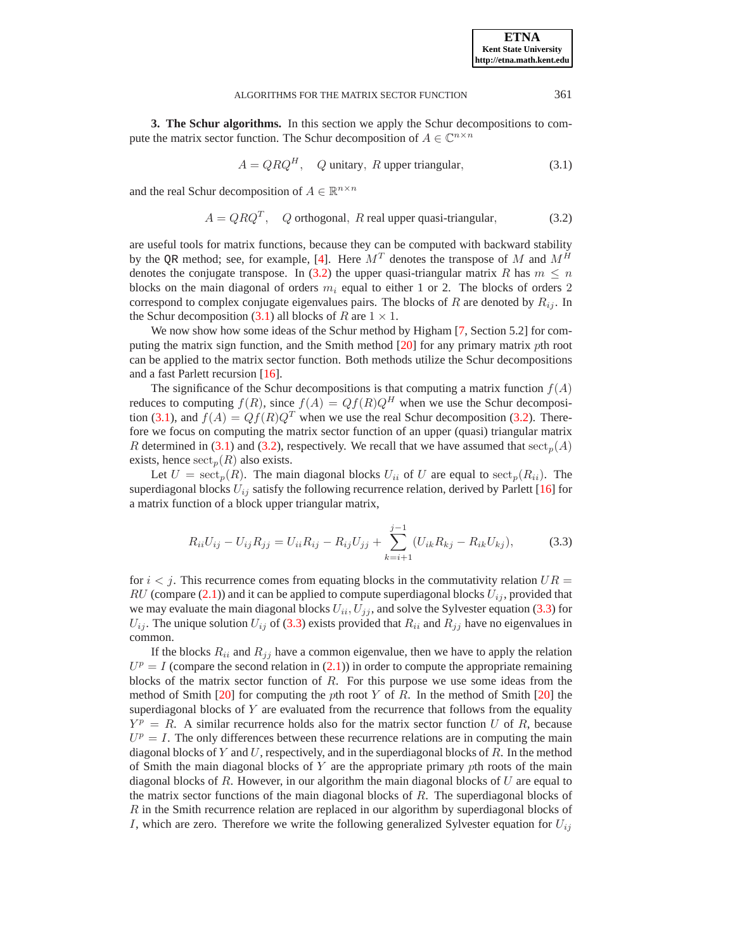<span id="page-3-0"></span>**3. The Schur algorithms.** In this section we apply the Schur decompositions to compute the matrix sector function. The Schur decomposition of  $A \in \mathbb{C}^{n \times n}$ 

$$
A = QRQH, Q unitary, R upper triangular,
$$
 (3.1)

<span id="page-3-2"></span><span id="page-3-1"></span>and the real Schur decomposition of  $A \in \mathbb{R}^{n \times n}$ 

$$
A = Q R QT, Q orthogonal, R real upper quasi-triangular,
$$
 (3.2)

are useful tools for matrix functions, because they can be computed with backward stability by the OR method; see, for example, [\[4\]](#page-24-9). Here  $M<sup>T</sup>$  denotes the transpose of M and  $M<sup>H</sup>$ denotes the conjugate transpose. In [\(3.2\)](#page-3-1) the upper quasi-triangular matrix R has  $m \leq n$ blocks on the main diagonal of orders  $m_i$  equal to either 1 or 2. The blocks of orders 2 correspond to complex conjugate eigenvalues pairs. The blocks of R are denoted by  $R_{ij}$ . In the Schur decomposition [\(3.1\)](#page-3-2) all blocks of R are  $1 \times 1$ .

We now show how some ideas of the Schur method by Higham [\[7,](#page-24-0) Section 5.2] for computing the matrix sign function, and the Smith method [\[20\]](#page-25-3) for any primary matrix pth root can be applied to the matrix sector function. Both methods utilize the Schur decompositions and a fast Parlett recursion [\[16\]](#page-25-4).

The significance of the Schur decompositions is that computing a matrix function  $f(A)$ reduces to computing  $f(R)$ , since  $f(A) = Qf(R)Q^H$  when we use the Schur decomposi-tion [\(3.1\)](#page-3-2), and  $f(A) = Qf(R)Q^T$  when we use the real Schur decomposition [\(3.2\)](#page-3-1). Therefore we focus on computing the matrix sector function of an upper (quasi) triangular matrix R determined in [\(3.1\)](#page-3-2) and [\(3.2\)](#page-3-1), respectively. We recall that we have assumed that  $\operatorname{sect}_p(A)$ exists, hence  $\operatorname{sect}_p(R)$  also exists.

Let  $U = \operatorname{sect}_p(R)$ . The main diagonal blocks  $U_{ii}$  of U are equal to  $\operatorname{sect}_p(R_{ii})$ . The superdiagonal blocks  $U_{ij}$  satisfy the following recurrence relation, derived by Parlett [\[16\]](#page-25-4) for a matrix function of a block upper triangular matrix,

$$
R_{ii}U_{ij} - U_{ij}R_{jj} = U_{ii}R_{ij} - R_{ij}U_{jj} + \sum_{k=i+1}^{j-1} (U_{ik}R_{kj} - R_{ik}U_{kj}),
$$
 (3.3)

<span id="page-3-3"></span>for  $i < j$ . This recurrence comes from equating blocks in the commutativity relation  $UR =$ RU (compare [\(2.1\)](#page-2-1)) and it can be applied to compute superdiagonal blocks  $U_{ij}$ , provided that we may evaluate the main diagonal blocks  $U_{ii}$ ,  $U_{jj}$ , and solve the Sylvester equation [\(3.3\)](#page-3-3) for  $U_{ij}$ . The unique solution  $U_{ij}$  of [\(3.3\)](#page-3-3) exists provided that  $R_{ii}$  and  $R_{jj}$  have no eigenvalues in common.

If the blocks  $R_{ii}$  and  $R_{jj}$  have a common eigenvalue, then we have to apply the relation  $U<sup>p</sup> = I$  (compare the second relation in [\(2.1\)](#page-2-1)) in order to compute the appropriate remaining blocks of the matrix sector function of  $R$ . For this purpose we use some ideas from the method of Smith  $[20]$  for computing the pth root Y of R. In the method of Smith  $[20]$  the superdiagonal blocks of Y are evaluated from the recurrence that follows from the equality  $Y^p = R$ . A similar recurrence holds also for the matrix sector function U of R, because  $U<sup>p</sup> = I$ . The only differences between these recurrence relations are in computing the main diagonal blocks of Y and U, respectively, and in the superdiagonal blocks of R. In the method of Smith the main diagonal blocks of  $Y$  are the appropriate primary  $p$ th roots of the main diagonal blocks of R. However, in our algorithm the main diagonal blocks of  $U$  are equal to the matrix sector functions of the main diagonal blocks of R. The superdiagonal blocks of  $R$  in the Smith recurrence relation are replaced in our algorithm by superdiagonal blocks of I, which are zero. Therefore we write the following generalized Sylvester equation for  $U_{ij}$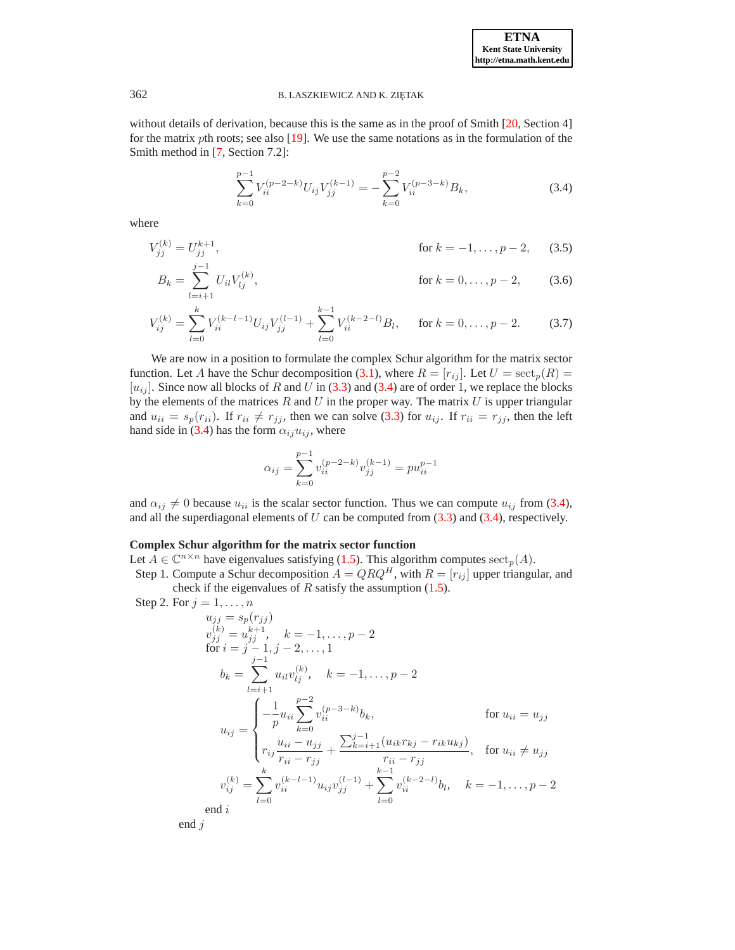without details of derivation, because this is the same as in the proof of Smith [\[20,](#page-25-3) Section 4] for the matrix pth roots; see also [\[19\]](#page-25-2). We use the same notations as in the formulation of the Smith method in [\[7,](#page-24-0) Section 7.2]:

<span id="page-4-2"></span><span id="page-4-1"></span>
$$
\sum_{k=0}^{p-1} V_{ii}^{(p-2-k)} U_{ij} V_{jj}^{(k-1)} = -\sum_{k=0}^{p-2} V_{ii}^{(p-3-k)} B_k,
$$
\n(3.4)

<span id="page-4-0"></span>where

$$
V_{jj}^{(k)} = U_{jj}^{k+1}, \qquad \text{for } k = -1, \dots, p-2, \qquad (3.5)
$$

$$
B_k = \sum_{l=i+1}^{j} U_{il} V_{lj}^{(k)}, \qquad \text{for } k = 0, \dots, p-2, \qquad (3.6)
$$

$$
V_{ij}^{(k)} = \sum_{l=0}^{k} V_{ii}^{(k-l-1)} U_{ij} V_{jj}^{(l-1)} + \sum_{l=0}^{k-1} V_{ii}^{(k-2-l)} B_l, \quad \text{for } k = 0, \dots, p-2.
$$
 (3.7)

We are now in a position to formulate the complex Schur algorithm for the matrix sector function. Let A have the Schur decomposition [\(3.1\)](#page-3-2), where  $R = [r_{ij}]$ . Let  $U = \text{sect}_p(R) =$  $[u_{ij}]$ . Since now all blocks of R and U in [\(3.3\)](#page-3-3) and [\(3.4\)](#page-4-0) are of order 1, we replace the blocks by the elements of the matrices  $R$  and  $U$  in the proper way. The matrix  $U$  is upper triangular and  $u_{ii} = s_p(r_{ii})$ . If  $r_{ii} \neq r_{jj}$ , then we can solve [\(3.3\)](#page-3-3) for  $u_{ij}$ . If  $r_{ii} = r_{jj}$ , then the left hand side in [\(3.4\)](#page-4-0) has the form  $\alpha_{ij}u_{ij}$ , where

<span id="page-4-3"></span>
$$
\alpha_{ij} = \sum_{k=0}^{p-1} v_{ii}^{(p-2-k)} v_{jj}^{(k-1)} = p u_{ii}^{p-1}
$$

and  $\alpha_{ij} \neq 0$  because  $u_{ii}$  is the scalar sector function. Thus we can compute  $u_{ij}$  from [\(3.4\)](#page-4-0), and all the superdiagonal elements of  $U$  can be computed from  $(3.3)$  and  $(3.4)$ , respectively.

# **Complex Schur algorithm for the matrix sector function**

Let  $A \in \mathbb{C}^{n \times n}$  have eigenvalues satisfying [\(1.5\)](#page-1-2). This algorithm computes  $\mathrm{sect}_p(A)$ . Step 1. Compute a Schur decomposition  $A = QRQ^H$ , with  $R = [r_{ij}]$  upper triangular, and

check if the eigenvalues of  $R$  satisfy the assumption [\(1.5\)](#page-1-2).

Step 2. For 
$$
j = 1, ..., n
$$

$$
u_{jj} = s_p(r_{jj})
$$
  
\n
$$
v_{jj}^{(k)} = u_{jj}^{k+1}, \quad k = -1, ..., p-2
$$
  
\nfor  $i = j - 1, j - 2, ..., 1$   
\n
$$
b_k = \sum_{l=i+1}^{j-1} u_{il}v_{lj}^{(k)}, \quad k = -1, ..., p-2
$$
  
\n
$$
u_{ij} = \begin{cases}\n-\frac{1}{p}u_{ii} \sum_{k=0}^{p-2} v_{ii}^{(p-3-k)}b_k, & \text{for } u_{ii} = u_{jj} \\
r_{ij} \frac{u_{ii} - u_{jj}}{r_{ii} - r_{jj}} + \frac{\sum_{k=i+1}^{j-1} (u_{ik}r_{kj} - r_{ik}u_{kj})}{r_{ii} - r_{jj}}, & \text{for } u_{ii} \neq u_{jj} \\
v_{ij}^{(k)} = \sum_{l=0}^{k} v_{ii}^{(k-l-1)}u_{ij}v_{jj}^{(l-1)} + \sum_{l=0}^{k-1} v_{ii}^{(k-2-l)}b_l, & k = -1, ..., p-2 \\
\text{end } i\n\end{cases}
$$

end j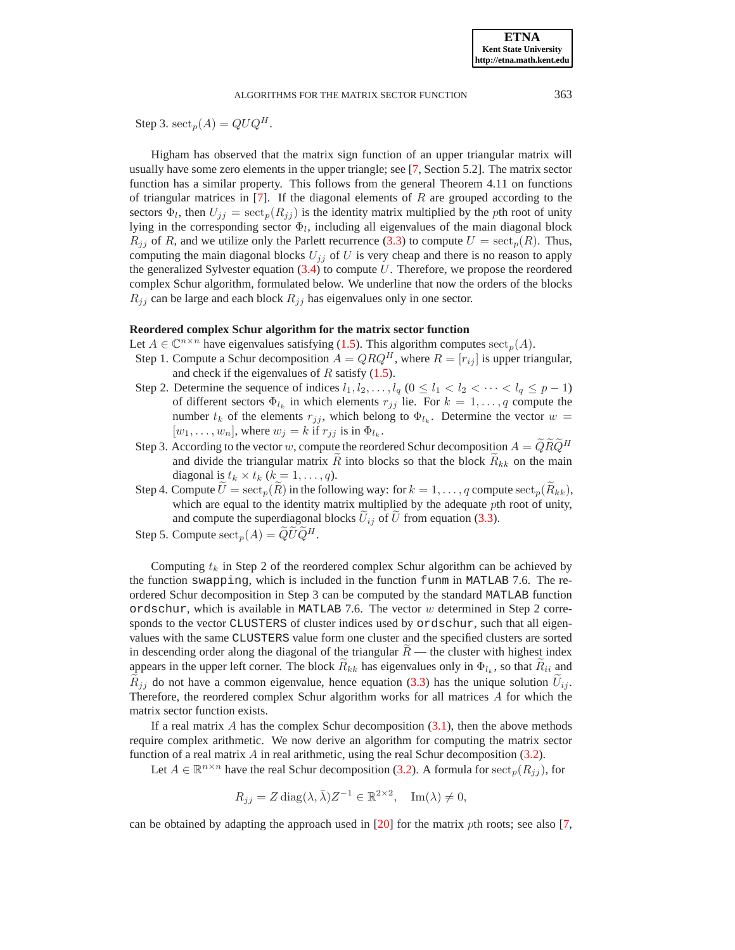Step 3.  $\mathrm{sect}_p(A) = QUQ^H$ .

Higham has observed that the matrix sign function of an upper triangular matrix will usually have some zero elements in the upper triangle; see [\[7,](#page-24-0) Section 5.2]. The matrix sector function has a similar property. This follows from the general Theorem 4.11 on functions of triangular matrices in  $[7]$ . If the diagonal elements of  $R$  are grouped according to the sectors  $\Phi_l$ , then  $U_{jj} = \operatorname{sect}_p(R_{jj})$  is the identity matrix multiplied by the pth root of unity lying in the corresponding sector  $\Phi_l$ , including all eigenvalues of the main diagonal block  $R_{ij}$  of R, and we utilize only the Parlett recurrence [\(3.3\)](#page-3-3) to compute  $U = \text{sect}_p(R)$ . Thus, computing the main diagonal blocks  $U_{jj}$  of U is very cheap and there is no reason to apply the generalized Sylvester equation  $(3.4)$  to compute  $U$ . Therefore, we propose the reordered complex Schur algorithm, formulated below. We underline that now the orders of the blocks  $R_{ij}$  can be large and each block  $R_{ij}$  has eigenvalues only in one sector.

## **Reordered complex Schur algorithm for the matrix sector function**

- Let  $A \in \mathbb{C}^{n \times n}$  have eigenvalues satisfying [\(1.5\)](#page-1-2). This algorithm computes  $\mathrm{sect}_p(A)$ .
- Step 1. Compute a Schur decomposition  $A = QRQ^H$ , where  $R = [r_{ij}]$  is upper triangular, and check if the eigenvalues of  $R$  satisfy  $(1.5)$ .
- Step 2. Determine the sequence of indices  $l_1, l_2, \ldots, l_q$   $(0 \le l_1 < l_2 < \cdots < l_q \le p-1)$ of different sectors  $\Phi_{l_k}$  in which elements  $r_{jj}$  lie. For  $k = 1, \ldots, q$  compute the number  $t_k$  of the elements  $r_{jj}$ , which belong to  $\Phi_{l_k}$ . Determine the vector  $w =$  $[w_1, \ldots, w_n]$ , where  $w_j = k$  if  $r_{jj}$  is in  $\Phi_{l_k}$ .
- Step 3. According to the vector w, compute the reordered Schur decomposition  $A = \hat{Q} \hat{R} \hat{Q}^H$ and divide the triangular matrix  $\tilde{R}$  into blocks so that the block  $\tilde{R}_{kk}$  on the main diagonal is  $t_k \times t_k$   $(k = 1, \ldots, q)$ .
- Step 4. Compute  $\widetilde{U} = \operatorname{sect}_p(\widetilde{R})$  in the following way: for  $k = 1, \ldots, q$  compute  $\operatorname{sect}_p(\widetilde{R}_{kk})$ , which are equal to the identity matrix multiplied by the adequate pth root of unity, and compute the superdiagonal blocks  $U_{ij}$  of U from equation [\(3.3\)](#page-3-3).
- Step 5. Compute  $\operatorname{sect}_p(A) = \widetilde{Q} \widetilde{U} \widetilde{Q}^H$ .

Computing  $t_k$  in Step 2 of the reordered complex Schur algorithm can be achieved by the function swapping, which is included in the function funm in MATLAB 7.6. The reordered Schur decomposition in Step 3 can be computed by the standard MATLAB function ordschur, which is available in MATLAB 7.6. The vector  $w$  determined in Step 2 corresponds to the vector CLUSTERS of cluster indices used by ordschur, such that all eigenvalues with the same CLUSTERS value form one cluster and the specified clusters are sorted in descending order along the diagonal of the triangular  $R$  — the cluster with highest index appears in the upper left corner. The block  $R_{kk}$  has eigenvalues only in  $\Phi_{l_k}$ , so that  $R_{ii}$  and  $R_{ij}$  do not have a common eigenvalue, hence equation [\(3.3\)](#page-3-3) has the unique solution  $U_{ij}$ . Therefore, the reordered complex Schur algorithm works for all matrices A for which the matrix sector function exists.

If a real matrix  $A$  has the complex Schur decomposition  $(3.1)$ , then the above methods require complex arithmetic. We now derive an algorithm for computing the matrix sector function of a real matrix  $A$  in real arithmetic, using the real Schur decomposition  $(3.2)$ .

Let  $A \in \mathbb{R}^{n \times n}$  have the real Schur decomposition [\(3.2\)](#page-3-1). A formula for  $\operatorname{sect}_p(R_{jj})$ , for

$$
R_{jj} = Z \operatorname{diag}(\lambda, \bar{\lambda}) Z^{-1} \in \mathbb{R}^{2 \times 2}, \quad \operatorname{Im}(\lambda) \neq 0,
$$

can be obtained by adapting the approach used in  $[20]$  for the matrix pth roots; see also [\[7,](#page-24-0)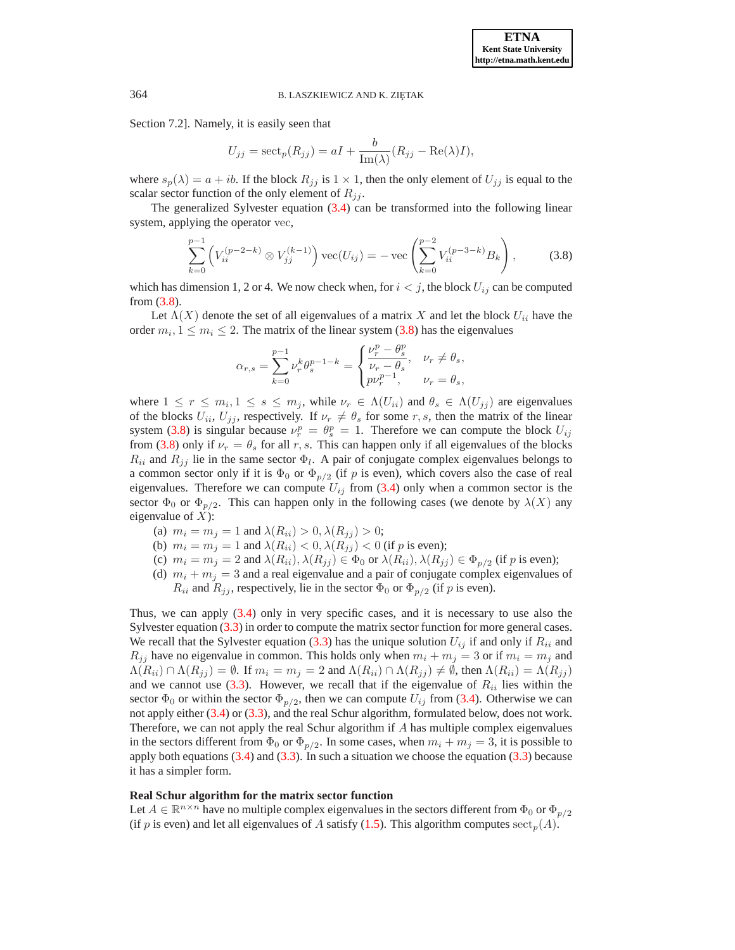Section 7.2]. Namely, it is easily seen that

$$
U_{jj} = \operatorname{sect}_p(R_{jj}) = aI + \frac{b}{\operatorname{Im}(\lambda)}(R_{jj} - \operatorname{Re}(\lambda)I),
$$

where  $s_p(\lambda) = a + ib$ . If the block  $R_{jj}$  is  $1 \times 1$ , then the only element of  $U_{jj}$  is equal to the scalar sector function of the only element of  $R_{ij}$ .

The generalized Sylvester equation [\(3.4\)](#page-4-0) can be transformed into the following linear system, applying the operator vec,

$$
\sum_{k=0}^{p-1} \left( V_{ii}^{(p-2-k)} \otimes V_{jj}^{(k-1)} \right) \text{vec}(U_{ij}) = -\text{vec}\left( \sum_{k=0}^{p-2} V_{ii}^{(p-3-k)} B_k \right),\tag{3.8}
$$

<span id="page-6-0"></span>which has dimension 1, 2 or 4. We now check when, for  $i < j$ , the block  $U_{ij}$  can be computed from [\(3.8\)](#page-6-0).

Let  $\Lambda(X)$  denote the set of all eigenvalues of a matrix X and let the block  $U_{ii}$  have the order  $m_i, 1 \leq m_i \leq 2$ . The matrix of the linear system [\(3.8\)](#page-6-0) has the eigenvalues

$$
\alpha_{r,s}=\sum_{k=0}^{p-1}\nu_r^k\theta_s^{p-1-k}=\begin{cases}\frac{\nu_r^p-\theta_s^p}{\nu_r-\theta_s}, & \nu_r\neq\theta_s,\\p\nu_r^{p-1}, & \nu_r=\theta_s,\end{cases}
$$

where  $1 \le r \le m_i, 1 \le s \le m_j$ , while  $\nu_r \in \Lambda(U_{ii})$  and  $\theta_s \in \Lambda(U_{jj})$  are eigenvalues of the blocks  $U_{ii}$ ,  $U_{ij}$ , respectively. If  $\nu_r \neq \theta_s$  for some r, s, then the matrix of the linear system [\(3.8\)](#page-6-0) is singular because  $\nu_r^p = \theta_s^p = 1$ . Therefore we can compute the block  $U_{ij}$ from [\(3.8\)](#page-6-0) only if  $\nu_r = \theta_s$  for all r, s. This can happen only if all eigenvalues of the blocks  $R_{ii}$  and  $R_{jj}$  lie in the same sector  $\Phi_l$ . A pair of conjugate complex eigenvalues belongs to a common sector only if it is  $\Phi_0$  or  $\Phi_{p/2}$  (if p is even), which covers also the case of real eigenvalues. Therefore we can compute  $U_{ij}$  from [\(3.4\)](#page-4-0) only when a common sector is the sector  $\Phi_0$  or  $\Phi_{p/2}$ . This can happen only in the following cases (we denote by  $\lambda(X)$  any eigenvalue of  $X$ ):

- (a)  $m_i = m_j = 1$  and  $\lambda(R_{ii}) > 0, \lambda(R_{ii}) > 0$ ;
- (b)  $m_i = m_j = 1$  and  $\lambda(R_{ii}) < 0, \lambda(R_{jj}) < 0$  (if p is even);
- (c)  $m_i = m_j = 2$  and  $\lambda(R_{ii}), \lambda(R_{jj}) \in \Phi_0$  or  $\lambda(R_{ii}), \lambda(R_{jj}) \in \Phi_{p/2}$  (if p is even);
- (d)  $m_i + m_j = 3$  and a real eigenvalue and a pair of conjugate complex eigenvalues of  $R_{ii}$  and  $R_{jj}$ , respectively, lie in the sector  $\Phi_0$  or  $\Phi_{p/2}$  (if p is even).

Thus, we can apply [\(3.4\)](#page-4-0) only in very specific cases, and it is necessary to use also the Sylvester equation [\(3.3\)](#page-3-3) in order to compute the matrix sector function for more general cases. We recall that the Sylvester equation [\(3.3\)](#page-3-3) has the unique solution  $U_{ij}$  if and only if  $R_{ii}$  and  $R_{jj}$  have no eigenvalue in common. This holds only when  $m_i + m_j = 3$  or if  $m_i = m_j$  and  $\Lambda(R_{ii}) \cap \Lambda(R_{jj}) = \emptyset$ . If  $m_i = m_j = 2$  and  $\Lambda(R_{ii}) \cap \Lambda(R_{jj}) \neq \emptyset$ , then  $\Lambda(R_{ii}) = \Lambda(R_{jj})$ and we cannot use  $(3.3)$ . However, we recall that if the eigenvalue of  $R_{ii}$  lies within the sector  $\Phi_0$  or within the sector  $\Phi_{p/2}$ , then we can compute  $U_{ij}$  from [\(3.4\)](#page-4-0). Otherwise we can not apply either [\(3.4\)](#page-4-0) or [\(3.3\)](#page-3-3), and the real Schur algorithm, formulated below, does not work. Therefore, we can not apply the real Schur algorithm if A has multiple complex eigenvalues in the sectors different from  $\Phi_0$  or  $\Phi_{p/2}$ . In some cases, when  $m_i + m_j = 3$ , it is possible to apply both equations  $(3.4)$  and  $(3.3)$ . In such a situation we choose the equation  $(3.3)$  because it has a simpler form.

### **Real Schur algorithm for the matrix sector function**

Let  $A \in \mathbb{R}^{n \times n}$  have no multiple complex eigenvalues in the sectors different from  $\Phi_0$  or  $\Phi_{p/2}$ (if p is even) and let all eigenvalues of A satisfy [\(1.5\)](#page-1-2). This algorithm computes  $\operatorname{sect}_p(A)$ .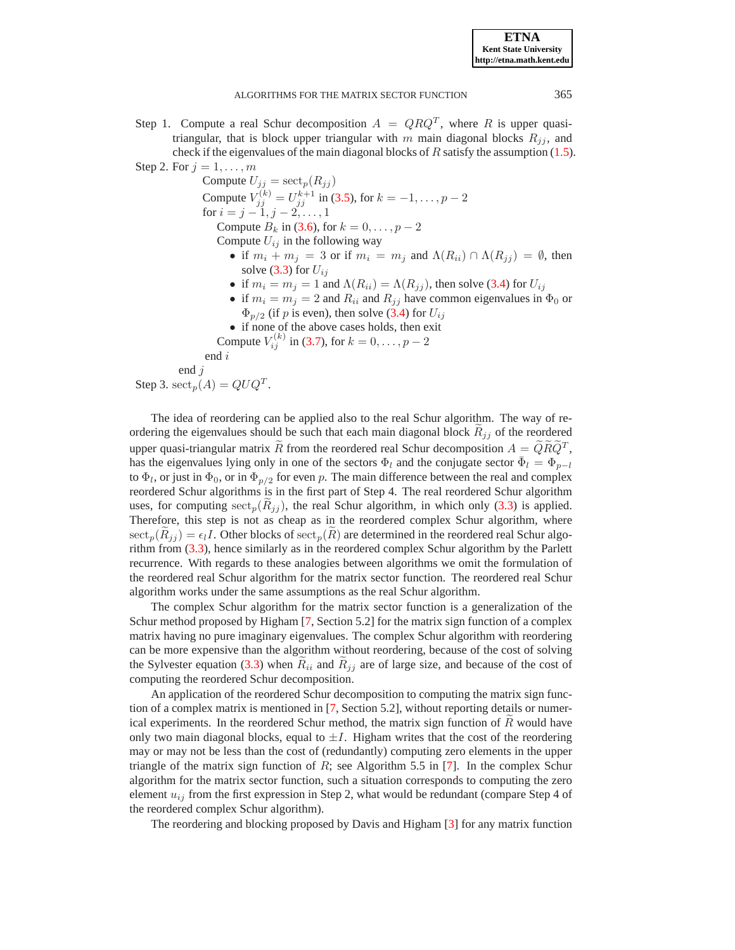Step 1. Compute a real Schur decomposition  $A = QRQ^T$ , where R is upper quasitriangular, that is block upper triangular with m main diagonal blocks  $R_{ij}$ , and check if the eigenvalues of the main diagonal blocks of  $R$  satisfy the assumption [\(1.5\)](#page-1-2).

Step 2. For  $j = 1, \ldots, m$ Compute  $U_{jj} = \operatorname{sect}_p(R_{jj})$ Compute  $V_{jj}^{(k)} = U_{jj}^{k+1}$  in [\(3.5\)](#page-4-1), for  $k = -1, ..., p - 2$ for  $i = j - 1, j - 2, \ldots, 1$ Compute  $B_k$  in [\(3.6\)](#page-4-2), for  $k = 0, ..., p - 2$ Compute  $U_{ij}$  in the following way • if  $m_i + m_j = 3$  or if  $m_i = m_j$  and  $\Lambda(R_{ii}) \cap \Lambda(R_{jj}) = \emptyset$ , then solve  $(3.3)$  for  $U_{ij}$ • if  $m_i = m_j = 1$  and  $\Lambda(R_{ii}) = \Lambda(R_{jj})$ , then solve [\(3.4\)](#page-4-0) for  $U_{ij}$ • if  $m_i = m_j = 2$  and  $R_{ii}$  and  $R_{jj}$  have common eigenvalues in  $\Phi_0$  or  $\Phi_{p/2}$  (if p is even), then solve [\(3.4\)](#page-4-0) for  $U_{ij}$ • if none of the above cases holds, then exit Compute  $V_{ij}^{(k)}$  in [\(3.7\)](#page-4-3), for  $k = 0, ..., p - 2$ end i end j Step 3.  $\mathrm{sect}_p(A) = QUQ^T$ .

The idea of reordering can be applied also to the real Schur algorithm. The way of reordering the eigenvalues should be such that each main diagonal block  $R_{ij}$  of the reordered upper quasi-triangular matrix R from the reordered real Schur decomposition  $A = QRQ^T$ , has the eigenvalues lying only in one of the sectors  $\Phi_l$  and the conjugate sector  $\bar{\Phi}_l = \Phi_{p-l}$ to  $\Phi_l$ , or just in  $\Phi_0$ , or in  $\Phi_{p/2}$  for even p. The main difference between the real and complex reordered Schur algorithms is in the first part of Step 4. The real reordered Schur algorithm uses, for computing  ${\rm sect}_p(R_{jj})$ , the real Schur algorithm, in which only [\(3.3\)](#page-3-3) is applied. Therefore, this step is not as cheap as in the reordered complex Schur algorithm, where  ${\rm sect}_p(R_{ij}) = \epsilon_l I$ . Other blocks of  ${\rm sect}_p(R)$  are determined in the reordered real Schur algorithm from [\(3.3\)](#page-3-3), hence similarly as in the reordered complex Schur algorithm by the Parlett recurrence. With regards to these analogies between algorithms we omit the formulation of the reordered real Schur algorithm for the matrix sector function. The reordered real Schur algorithm works under the same assumptions as the real Schur algorithm.

The complex Schur algorithm for the matrix sector function is a generalization of the Schur method proposed by Higham [\[7,](#page-24-0) Section 5.2] for the matrix sign function of a complex matrix having no pure imaginary eigenvalues. The complex Schur algorithm with reordering can be more expensive than the algorithm without reordering, because of the cost of solving the Sylvester equation [\(3.3\)](#page-3-3) when  $R_{ii}$  and  $R_{jj}$  are of large size, and because of the cost of computing the reordered Schur decomposition.

An application of the reordered Schur decomposition to computing the matrix sign function of a complex matrix is mentioned in [\[7,](#page-24-0) Section 5.2], without reporting details or numerical experiments. In the reordered Schur method, the matrix sign function of  $R$  would have only two main diagonal blocks, equal to  $\pm I$ . Higham writes that the cost of the reordering may or may not be less than the cost of (redundantly) computing zero elements in the upper triangle of the matrix sign function of  $R$ ; see Algorithm 5.5 in [\[7\]](#page-24-0). In the complex Schur algorithm for the matrix sector function, such a situation corresponds to computing the zero element  $u_{ij}$  from the first expression in Step 2, what would be redundant (compare Step 4 of the reordered complex Schur algorithm).

The reordering and blocking proposed by Davis and Higham [\[3\]](#page-24-10) for any matrix function

**ETNA Kent State University http://etna.math.kent.edu**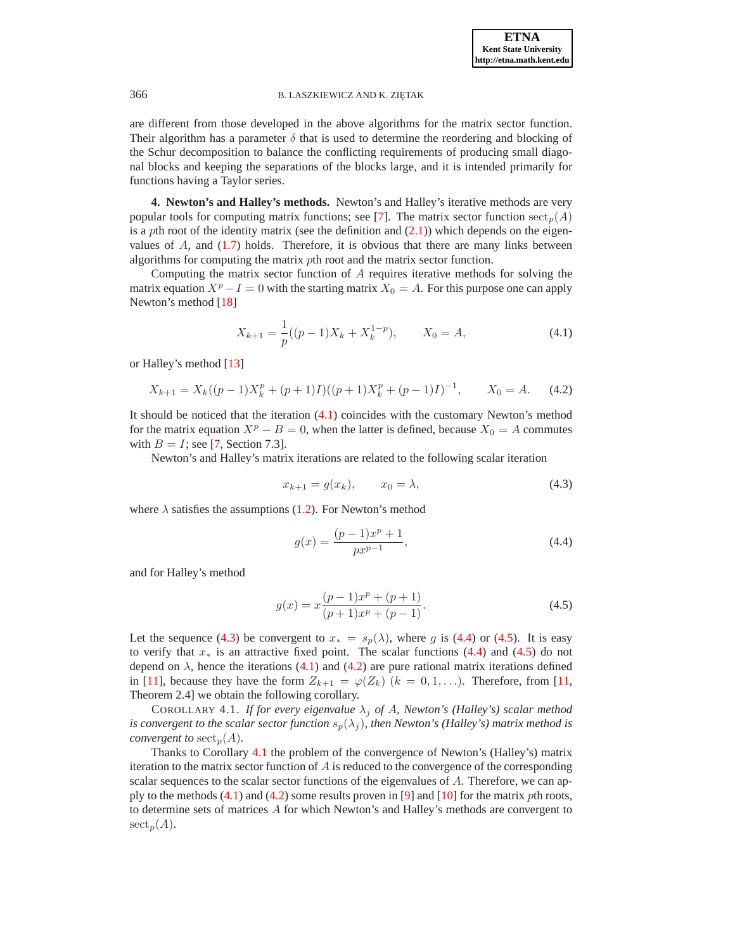are different from those developed in the above algorithms for the matrix sector function. Their algorithm has a parameter  $\delta$  that is used to determine the reordering and blocking of the Schur decomposition to balance the conflicting requirements of producing small diagonal blocks and keeping the separations of the blocks large, and it is intended primarily for functions having a Taylor series.

<span id="page-8-0"></span>**4. Newton's and Halley's methods.** Newton's and Halley's iterative methods are very popular tools for computing matrix functions; see [\[7\]](#page-24-0). The matrix sector function  $\operatorname{sect}_p(A)$ is a pth root of the identity matrix (see the definition and  $(2.1)$ ) which depends on the eigenvalues of  $A$ , and  $(1.7)$  holds. Therefore, it is obvious that there are many links between algorithms for computing the matrix pth root and the matrix sector function.

Computing the matrix sector function of A requires iterative methods for solving the matrix equation  $X^p - I = 0$  with the starting matrix  $X_0 = A$ . For this purpose one can apply Newton's method [\[18\]](#page-25-0)

$$
X_{k+1} = \frac{1}{p}((p-1)X_k + X_k^{1-p}), \qquad X_0 = A,\tag{4.1}
$$

<span id="page-8-5"></span><span id="page-8-1"></span>or Halley's method [\[13\]](#page-24-1)

$$
X_{k+1} = X_k((p-1)X_k^p + (p+1)I)((p+1)X_k^p + (p-1)I)^{-1}, \qquad X_0 = A. \tag{4.2}
$$

It should be noticed that the iteration [\(4.1\)](#page-8-1) coincides with the customary Newton's method for the matrix equation  $X^p - B = 0$ , when the latter is defined, because  $X_0 = A$  commutes with  $B = I$ ; see [\[7,](#page-24-0) Section 7.3].

<span id="page-8-2"></span>Newton's and Halley's matrix iterations are related to the following scalar iteration

$$
x_{k+1} = g(x_k), \qquad x_0 = \lambda,\tag{4.3}
$$

<span id="page-8-3"></span>where  $\lambda$  satisfies the assumptions [\(1.2\)](#page-0-0). For Newton's method

$$
g(x) = \frac{(p-1)x^p + 1}{px^{p-1}},
$$
\n(4.4)

<span id="page-8-4"></span>and for Halley's method

$$
g(x) = x \frac{(p-1)x^p + (p+1)}{(p+1)x^p + (p-1)}.
$$
\n(4.5)

Let the sequence [\(4.3\)](#page-8-2) be convergent to  $x_* = s_p(\lambda)$ , where g is [\(4.4\)](#page-8-3) or [\(4.5\)](#page-8-4). It is easy to verify that  $x_*$  is an attractive fixed point. The scalar functions [\(4.4\)](#page-8-3) and [\(4.5\)](#page-8-4) do not depend on  $\lambda$ , hence the iterations [\(4.1\)](#page-8-1) and [\(4.2\)](#page-8-5) are pure rational matrix iterations defined in [\[11\]](#page-24-3), because they have the form  $Z_{k+1} = \varphi(Z_k)$   $(k = 0, 1, \ldots)$ . Therefore, from [\[11,](#page-24-3) Theorem 2.4] we obtain the following corollary.

<span id="page-8-6"></span>COROLLARY 4.1. *If for every eigenvalue*  $\lambda_j$  *of A, Newton's (Halley's) scalar method is convergent to the scalar sector function*  $s_p(\lambda_j)$ *, then Newton's (Halley's) matrix method is convergent to*  $\mathrm{sect}_p(A)$ *.* 

Thanks to Corollary [4.1](#page-8-6) the problem of the convergence of Newton's (Halley's) matrix iteration to the matrix sector function of  $A$  is reduced to the convergence of the corresponding scalar sequences to the scalar sector functions of the eigenvalues of A. Therefore, we can apply to the methods  $(4.1)$  and  $(4.2)$  some results proven in [\[9\]](#page-24-2) and [\[10\]](#page-24-5) for the matrix *p*th roots, to determine sets of matrices  $A$  for which Newton's and Halley's methods are convergent to  $\operatorname{sect}_p(A).$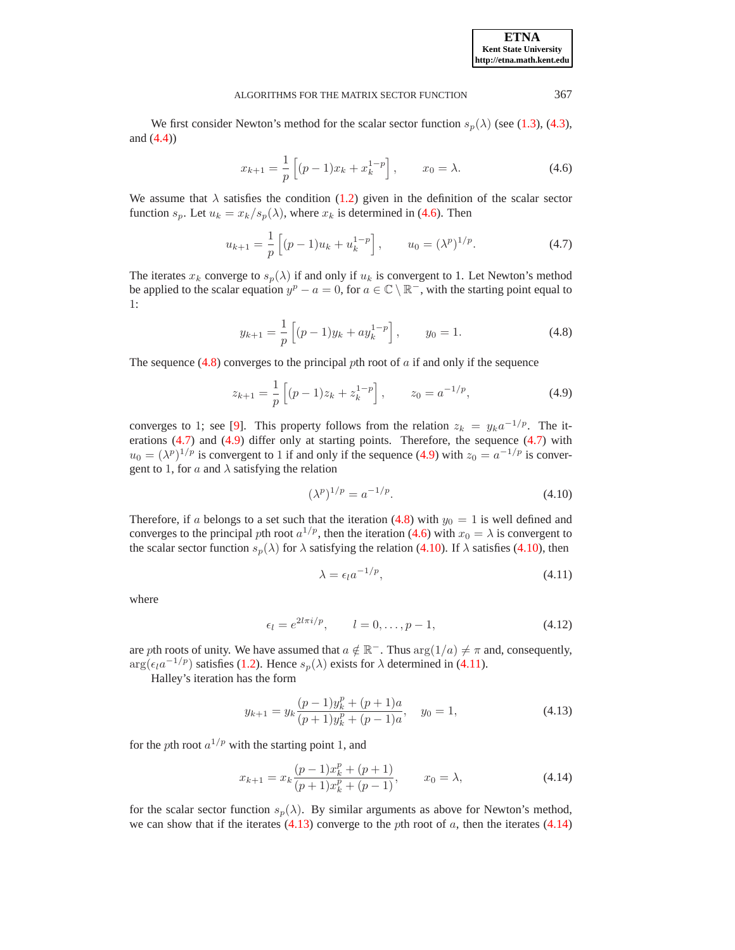**ETNA Kent State University http://etna.math.kent.edu**

### ALGORITHMS FOR THE MATRIX SECTOR FUNCTION 367

We first consider Newton's method for the scalar sector function  $s_p(\lambda)$  (see [\(1.3\)](#page-0-2), [\(4.3\)](#page-8-2), and [\(4.4\)](#page-8-3))

$$
x_{k+1} = \frac{1}{p} \left[ (p-1)x_k + x_k^{1-p} \right], \qquad x_0 = \lambda. \tag{4.6}
$$

<span id="page-9-0"></span>We assume that  $\lambda$  satisfies the condition [\(1.2\)](#page-0-0) given in the definition of the scalar sector function  $s_p$ . Let  $u_k = x_k/s_p(\lambda)$ , where  $x_k$  is determined in [\(4.6\)](#page-9-0). Then

$$
u_{k+1} = \frac{1}{p} \left[ (p-1)u_k + u_k^{1-p} \right], \qquad u_0 = (\lambda^p)^{1/p}.
$$
 (4.7)

<span id="page-9-2"></span>The iterates  $x_k$  converge to  $s_p(\lambda)$  if and only if  $u_k$  is convergent to 1. Let Newton's method be applied to the scalar equation  $y^p - a = 0$ , for  $a \in \mathbb{C} \setminus \mathbb{R}^-$ , with the starting point equal to 1:

$$
y_{k+1} = \frac{1}{p} \left[ (p-1)y_k + ay_k^{1-p} \right], \qquad y_0 = 1.
$$
 (4.8)

<span id="page-9-3"></span><span id="page-9-1"></span>The sequence  $(4.8)$  converges to the principal pth root of  $a$  if and only if the sequence

$$
z_{k+1} = \frac{1}{p} \left[ (p-1)z_k + z_k^{1-p} \right], \qquad z_0 = a^{-1/p}, \tag{4.9}
$$

converges to 1; see [\[9\]](#page-24-2). This property follows from the relation  $z_k = y_k a^{-1/p}$ . The iterations [\(4.7\)](#page-9-2) and [\(4.9\)](#page-9-3) differ only at starting points. Therefore, the sequence [\(4.7\)](#page-9-2) with  $u_0 = (\lambda^p)^{1/p}$  is convergent to 1 if and only if the sequence [\(4.9\)](#page-9-3) with  $z_0 = a^{-1/p}$  is convergent to 1, for a and  $\lambda$  satisfying the relation

<span id="page-9-4"></span>
$$
(\lambda^p)^{1/p} = a^{-1/p}.
$$
\n(4.10)

Therefore, if a belongs to a set such that the iteration [\(4.8\)](#page-9-1) with  $y_0 = 1$  is well defined and converges to the principal pth root  $a^{1/p}$ , then the iteration [\(4.6\)](#page-9-0) with  $x_0 = \lambda$  is convergent to the scalar sector function  $s_p(\lambda)$  for  $\lambda$  satisfying the relation [\(4.10\)](#page-9-4). If  $\lambda$  satisfies (4.10), then

$$
\lambda = \epsilon_l a^{-1/p},\tag{4.11}
$$

<span id="page-9-8"></span>where

<span id="page-9-5"></span>
$$
\epsilon_l = e^{2l\pi i/p}, \qquad l = 0, \dots, p - 1,
$$
\n(4.12)

are pth roots of unity. We have assumed that  $a \notin \mathbb{R}^-$ . Thus  $\arg(1/a) \neq \pi$  and, consequently,  $\arg(\epsilon_l a^{-1/p})$  satisfies [\(1.2\)](#page-0-0). Hence  $s_p(\lambda)$  exists for  $\lambda$  determined in [\(4.11\)](#page-9-5).

<span id="page-9-6"></span>Halley's iteration has the form

$$
y_{k+1} = y_k \frac{(p-1)y_k^p + (p+1)a}{(p+1)y_k^p + (p-1)a}, \quad y_0 = 1,
$$
\n(4.13)

<span id="page-9-7"></span>for the pth root  $a^{1/p}$  with the starting point 1, and

$$
x_{k+1} = x_k \frac{(p-1)x_k^p + (p+1)}{(p+1)x_k^p + (p-1)}, \qquad x_0 = \lambda,
$$
\n(4.14)

for the scalar sector function  $s_p(\lambda)$ . By similar arguments as above for Newton's method, we can show that if the iterates  $(4.13)$  converge to the pth root of a, then the iterates  $(4.14)$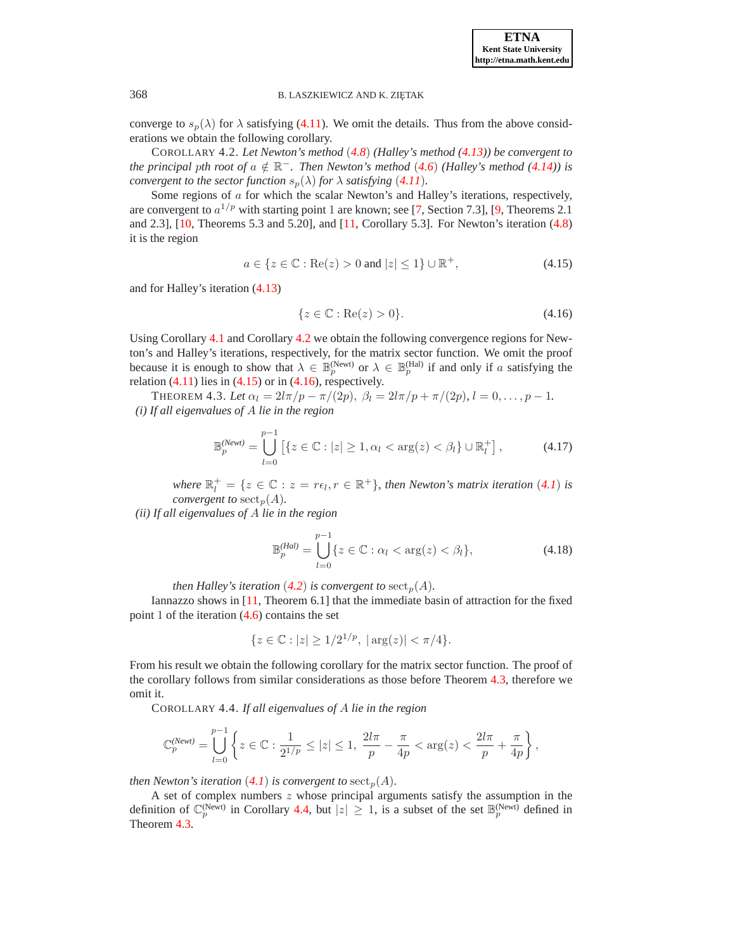**ETNA Kent State University http://etna.math.kent.edu**

### 368 B. LASZKIEWICZ AND K. ZIETAK

<span id="page-10-0"></span>converge to  $s_p(\lambda)$  for  $\lambda$  satisfying [\(4.11\)](#page-9-5). We omit the details. Thus from the above considerations we obtain the following corollary.

COROLLARY 4.2. *Let Newton's method* (*[4.8](#page-9-1)*) *(Halley's method [\(4.13\)](#page-9-6)) be convergent to the principal pth root of*  $a \notin \mathbb{R}^-$ *. Then Newton's method* ([4.6](#page-9-0)) *(Halley's method [\(4.14\)](#page-9-7))* is *convergent to the sector function*  $s_p(\lambda)$  *for*  $\lambda$  *satisfying* ([4.11](#page-9-5))*.* 

Some regions of a for which the scalar Newton's and Halley's iterations, respectively, are convergent to  $a^{1/p}$  with starting point 1 are known; see [\[7,](#page-24-0) Section 7.3], [\[9,](#page-24-2) Theorems 2.1 and 2.3], [\[10,](#page-24-5) Theorems 5.3 and 5.20], and [\[11,](#page-24-3) Corollary 5.3]. For Newton's iteration [\(4.8\)](#page-9-1) it is the region

<span id="page-10-2"></span>
$$
a \in \{z \in \mathbb{C} : \text{Re}(z) > 0 \text{ and } |z| \le 1\} \cup \mathbb{R}^+, \tag{4.15}
$$

<span id="page-10-1"></span>and for Halley's iteration [\(4.13\)](#page-9-6)

$$
\{z \in \mathbb{C} : \text{Re}(z) > 0\}.\tag{4.16}
$$

Using Corollary [4.1](#page-8-6) and Corollary [4.2](#page-10-0) we obtain the following convergence regions for Newton's and Halley's iterations, respectively, for the matrix sector function. We omit the proof because it is enough to show that  $\lambda \in \mathbb{B}_p^{(\text{Newt})}$  or  $\lambda \in \mathbb{B}_p^{(\text{Hal})}$  if and only if a satisfying the relation  $(4.11)$  lies in  $(4.15)$  or in  $(4.16)$ , respectively.

<span id="page-10-6"></span><span id="page-10-3"></span>THEOREM 4.3. Let  $\alpha_l = 2l\pi/p - \pi/(2p)$ ,  $\beta_l = 2l\pi/p + \pi/(2p)$ ,  $l = 0, \ldots, p - 1$ . *(i) If all eigenvalues of* A *lie in the region*

$$
\mathbb{B}_p^{(Newt)} = \bigcup_{l=0}^{p-1} \left[ \{ z \in \mathbb{C} : |z| \ge 1, \alpha_l < \arg(z) < \beta_l \} \cup \mathbb{R}_l^+ \right],\tag{4.17}
$$

where  $\mathbb{R}_l^+ = \{z \in \mathbb{C} : z = r\epsilon_l, r \in \mathbb{R}^+\}$ , then Newton's matrix iteration  $(4.1)$  $(4.1)$  $(4.1)$  is *convergent to*  $\mathrm{sect}_p(A)$ *.* 

*(ii) If all eigenvalues of* A *lie in the region*

$$
\mathbb{B}_p^{(Hal)} = \bigcup_{l=0}^{p-1} \{ z \in \mathbb{C} : \alpha_l < \arg(z) < \beta_l \},\tag{4.18}
$$

<span id="page-10-5"></span>*then Halley's iteration* ([4.2](#page-8-5)) *is convergent to*  $\text{sect}_p(A)$ *.* 

Iannazzo shows in [\[11,](#page-24-3) Theorem 6.1] that the immediate basin of attraction for the fixed point 1 of the iteration [\(4.6\)](#page-9-0) contains the set

$$
\{z \in \mathbb{C} : |z| \ge 1/2^{1/p}, \, |\arg(z)| < \pi/4\}.
$$

<span id="page-10-4"></span>From his result we obtain the following corollary for the matrix sector function. The proof of the corollary follows from similar considerations as those before Theorem [4.3,](#page-10-3) therefore we omit it.

COROLLARY 4.4. *If all eigenvalues of* A *lie in the region*

$$
\mathbb{C}_{p}^{(Newt)} = \bigcup_{l=0}^{p-1} \left\{ z \in \mathbb{C} : \frac{1}{2^{1/p}} \leq |z| \leq 1, \ \frac{2l\pi}{p} - \frac{\pi}{4p} < \arg(z) < \frac{2l\pi}{p} + \frac{\pi}{4p} \right\},
$$

*then Newton's iteration* ([4.1](#page-8-1)) *is convergent to*  $\operatorname{sect}_p(A)$ *.* 

A set of complex numbers z whose principal arguments satisfy the assumption in the definition of  $\mathbb{C}_p^{(\text{Newt})}$  in Corollary [4.4,](#page-10-4) but  $|z|\geq 1$ , is a subset of the set  $\mathbb{B}_p^{(\text{Newt})}$  defined in Theorem [4.3.](#page-10-3)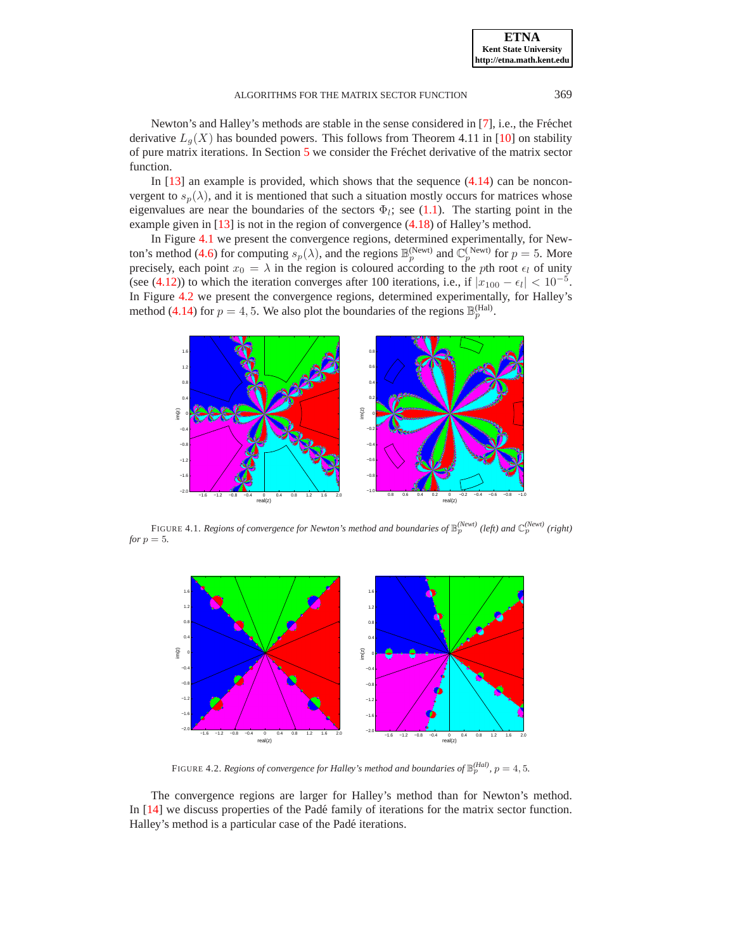Newton's and Halley's methods are stable in the sense considered in [\[7\]](#page-24-0), i.e., the Fréchet derivative  $L_g(X)$  has bounded powers. This follows from Theorem 4.11 in [\[10\]](#page-24-5) on stability of pure matrix iterations. In Section  $5$  we consider the Fréchet derivative of the matrix sector function.

In  $[13]$  an example is provided, which shows that the sequence  $(4.14)$  can be nonconvergent to  $s_p(\lambda)$ , and it is mentioned that such a situation mostly occurs for matrices whose eigenvalues are near the boundaries of the sectors  $\Phi_l$ ; see [\(1.1\)](#page-0-3). The starting point in the example given in [\[13\]](#page-24-1) is not in the region of convergence [\(4.18\)](#page-10-5) of Halley's method.

In Figure [4.1](#page-11-0) we present the convergence regions, determined experimentally, for New-ton's method [\(4.6\)](#page-9-0) for computing  $s_p(\lambda)$ , and the regions  $\mathbb{B}_p^{(\text{Newt})}$  and  $\mathbb{C}_p^{(\text{Newt})}$  for  $p=5$ . More precisely, each point  $x_0 = \lambda$  in the region is coloured according to the pth root  $\epsilon_l$  of unity (see [\(4.12\)](#page-9-8)) to which the iteration converges after 100 iterations, i.e., if  $|x_{100} - \epsilon_l| < 10^{-5}$ . In Figure [4.2](#page-11-1) we present the convergence regions, determined experimentally, for Halley's method [\(4.14\)](#page-9-7) for  $p = 4, 5$ . We also plot the boundaries of the regions  $\mathbb{B}_p^{(\text{Hal})}$ .



<span id="page-11-0"></span>FIGURE 4.1. *Regions of convergence for Newton's method and boundaries of*  $\mathbb{B}_p^{(Newt)}$  (left) and  $\mathbb{C}_p^{(Newt)}$  (right) *for*  $p = 5$ *.* 



FIGURE 4.2. *Regions of convergence for Halley's method and boundaries of*  $\mathbb{B}_p^{(Hal)}$ ,  $p = 4, 5$ .

<span id="page-11-1"></span>The convergence regions are larger for Halley's method than for Newton's method. In [\[14\]](#page-25-5) we discuss properties of the Padé family of iterations for the matrix sector function. Halley's method is a particular case of the Padé iterations.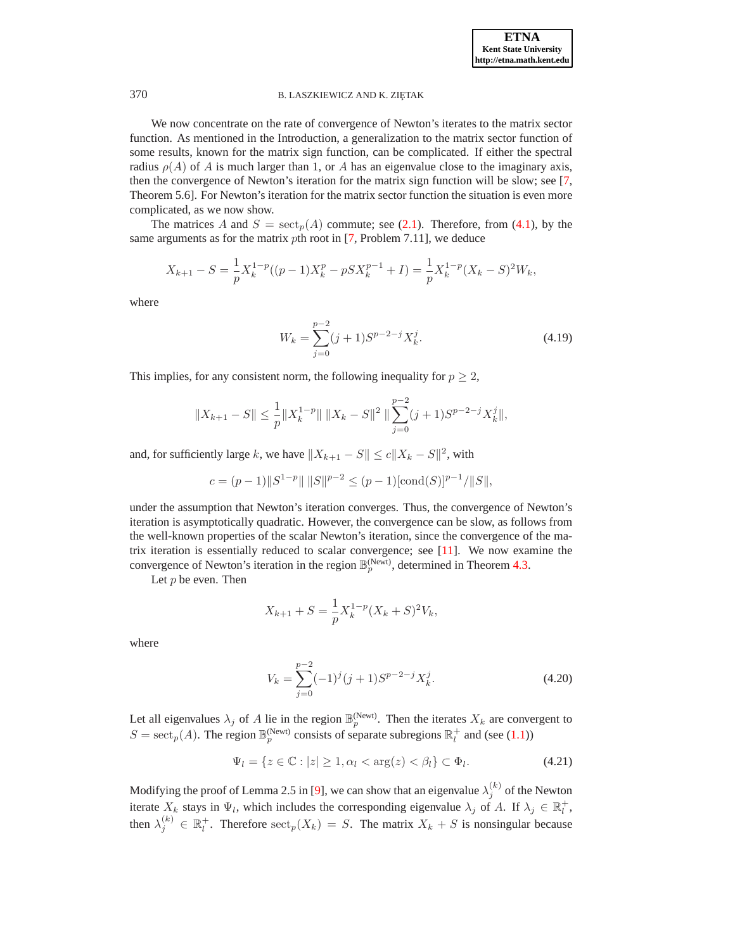We now concentrate on the rate of convergence of Newton's iterates to the matrix sector function. As mentioned in the Introduction, a generalization to the matrix sector function of some results, known for the matrix sign function, can be complicated. If either the spectral radius  $\rho(A)$  of A is much larger than 1, or A has an eigenvalue close to the imaginary axis, then the convergence of Newton's iteration for the matrix sign function will be slow; see [\[7,](#page-24-0) Theorem 5.6]. For Newton's iteration for the matrix sector function the situation is even more complicated, as we now show.

The matrices A and  $S = \text{sect}_p(A)$  commute; see [\(2.1\)](#page-2-1). Therefore, from [\(4.1\)](#page-8-1), by the same arguments as for the matrix *pth* root in [\[7,](#page-24-0) Problem 7.11], we deduce

$$
X_{k+1} - S = \frac{1}{p} X_k^{1-p} ((p-1)X_k^p - pSX_k^{p-1} + I) = \frac{1}{p} X_k^{1-p} (X_k - S)^2 W_k,
$$

where

$$
W_k = \sum_{j=0}^{p-2} (j+1) S^{p-2-j} X_k^j.
$$
\n(4.19)

This implies, for any consistent norm, the following inequality for  $p \geq 2$ ,

<span id="page-12-0"></span>
$$
||X_{k+1} - S|| \le \frac{1}{p} ||X_k^{1-p}|| \, ||X_k - S||^2 \, ||\sum_{j=0}^{p-2} (j+1) S^{p-2-j} X_k^j ||,
$$

and, for sufficiently large k, we have  $||X_{k+1} - S|| \le c||X_k - S||^2$ , with

$$
c = (p-1) \|S^{1-p}\| \|S\|^{p-2} \le (p-1) [\text{cond}(S)]^{p-1} / \|S\|,
$$

under the assumption that Newton's iteration converges. Thus, the convergence of Newton's iteration is asymptotically quadratic. However, the convergence can be slow, as follows from the well-known properties of the scalar Newton's iteration, since the convergence of the matrix iteration is essentially reduced to scalar convergence; see  $[11]$ . We now examine the convergence of Newton's iteration in the region  $\mathbb{B}_p^{(\text{Newt})}$ , determined in Theorem [4.3.](#page-10-3)

Let  $p$  be even. Then

$$
X_{k+1} + S = \frac{1}{p} X_k^{1-p} (X_k + S)^2 V_k,
$$

<span id="page-12-1"></span>where

$$
V_k = \sum_{j=0}^{p-2} (-1)^j (j+1) S^{p-2-j} X_k^j.
$$
\n(4.20)

Let all eigenvalues  $\lambda_j$  of A lie in the region  $\mathbb{B}_p^{(\text{Newt})}$ . Then the iterates  $X_k$  are convergent to  $S = \operatorname{sect}_p(A)$ . The region  $\mathbb{B}_p^{(\text{Newt})}$  consists of separate subregions  $\mathbb{R}_l^+$  and (see [\(1.1\)](#page-0-3))

$$
\Psi_l = \{ z \in \mathbb{C} : |z| \ge 1, \alpha_l < \arg(z) < \beta_l \} \subset \Phi_l. \tag{4.21}
$$

<span id="page-12-2"></span>Modifying the proof of Lemma 2.5 in [\[9\]](#page-24-2), we can show that an eigenvalue  $\lambda_j^{(k)}$  of the Newton iterate  $X_k$  stays in  $\Psi_l$ , which includes the corresponding eigenvalue  $\lambda_j$  of A. If  $\lambda_j \in \mathbb{R}_l^+$ , then  $\lambda_j^{(k)} \in \mathbb{R}_l^+$ . Therefore  $\operatorname{sect}_p(X_k) = S$ . The matrix  $X_k + S$  is nonsingular because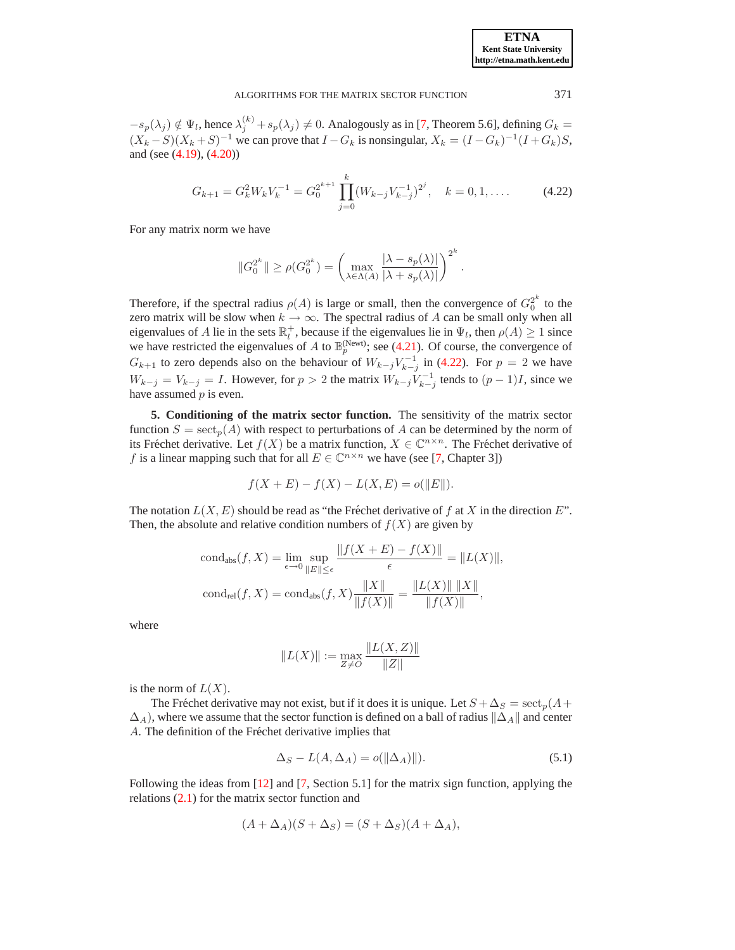$-s_p(\lambda_j) \notin \Psi_l$ , hence  $\lambda_j^{(k)} + s_p(\lambda_j) \neq 0$ . Analogously as in [\[7,](#page-24-0) Theorem 5.6], defining  $G_k =$  $(X_k - S)(X_k + S)^{-1}$  we can prove that  $I - G_k$  is nonsingular,  $X_k = (I - G_k)^{-1}(I + G_k)S$ , and (see [\(4.19\)](#page-12-0), [\(4.20\)](#page-12-1))

$$
G_{k+1} = G_k^2 W_k V_k^{-1} = G_0^{2^{k+1}} \prod_{j=0}^k (W_{k-j} V_{k-j}^{-1})^{2^j}, \quad k = 0, 1, .... \tag{4.22}
$$

<span id="page-13-1"></span>For any matrix norm we have

$$
\|G_0^{2^k}\| \ge \rho(G_0^{2^k}) = \left(\max_{\lambda \in \Lambda(A)}\frac{|\lambda - s_p(\lambda)|}{|\lambda + s_p(\lambda)|}\right)^{2^k}.
$$

Therefore, if the spectral radius  $\rho(A)$  is large or small, then the convergence of  $G_0^{2^k}$  to the zero matrix will be slow when  $k \to \infty$ . The spectral radius of A can be small only when all eigenvalues of A lie in the sets  $\mathbb{R}^+_l$ , because if the eigenvalues lie in  $\Psi_l$ , then  $\rho(A) \geq 1$  since we have restricted the eigenvalues of A to  $\mathbb{B}_p^{(\text{Newt})}$ ; see [\(4.21\)](#page-12-2). Of course, the convergence of  $G_{k+1}$  to zero depends also on the behaviour of  $W_{k-j}V_{k-j}^{-1}$  in [\(4.22\)](#page-13-1). For  $p = 2$  we have  $W_{k-j} = V_{k-j} = I$ . However, for  $p > 2$  the matrix  $W_{k-j} V_{k-j}^{-1}$  tends to  $(p-1)I$ , since we have assumed  $p$  is even.

<span id="page-13-0"></span>**5. Conditioning of the matrix sector function.** The sensitivity of the matrix sector function  $S = \operatorname{sect}_p(A)$  with respect to perturbations of A can be determined by the norm of its Fréchet derivative. Let  $f(X)$  be a matrix function,  $X \in \mathbb{C}^{n \times n}$ . The Fréchet derivative of f is a linear mapping such that for all  $E \in \mathbb{C}^{n \times n}$  we have (see [\[7,](#page-24-0) Chapter 3])

$$
f(X + E) - f(X) - L(X, E) = o(||E||).
$$

The notation  $L(X, E)$  should be read as "the Fréchet derivative of f at X in the direction E". Then, the absolute and relative condition numbers of  $f(X)$  are given by

$$
\text{cond}_{\text{abs}}(f, X) = \lim_{\epsilon \to 0} \sup_{\|E\| \le \epsilon} \frac{\|f(X + E) - f(X)\|}{\epsilon} = \|L(X)\|,
$$

$$
\text{cond}_{\text{rel}}(f, X) = \text{cond}_{\text{abs}}(f, X) \frac{\|X\|}{\|f(X)\|} = \frac{\|L(X)\| \|X\|}{\|f(X)\|},
$$

where

$$
||L(X)|| := \max_{Z \neq 0} \frac{||L(X, Z)||}{||Z||}
$$

is the norm of  $L(X)$ .

The Fréchet derivative may not exist, but if it does it is unique. Let  $S + \Delta_S = \sec t_p(A + \Delta_S)$  $\Delta_A$ ), where we assume that the sector function is defined on a ball of radius  $\|\Delta_A\|$  and center A. The definition of the Fréchet derivative implies that

$$
\Delta_S - L(A, \Delta_A) = o(||\Delta_A)||). \tag{5.1}
$$

<span id="page-13-2"></span>Following the ideas from [\[12\]](#page-24-6) and [\[7,](#page-24-0) Section 5.1] for the matrix sign function, applying the relations [\(2.1\)](#page-2-1) for the matrix sector function and

$$
(A + \Delta_A)(S + \Delta_S) = (S + \Delta_S)(A + \Delta_A),
$$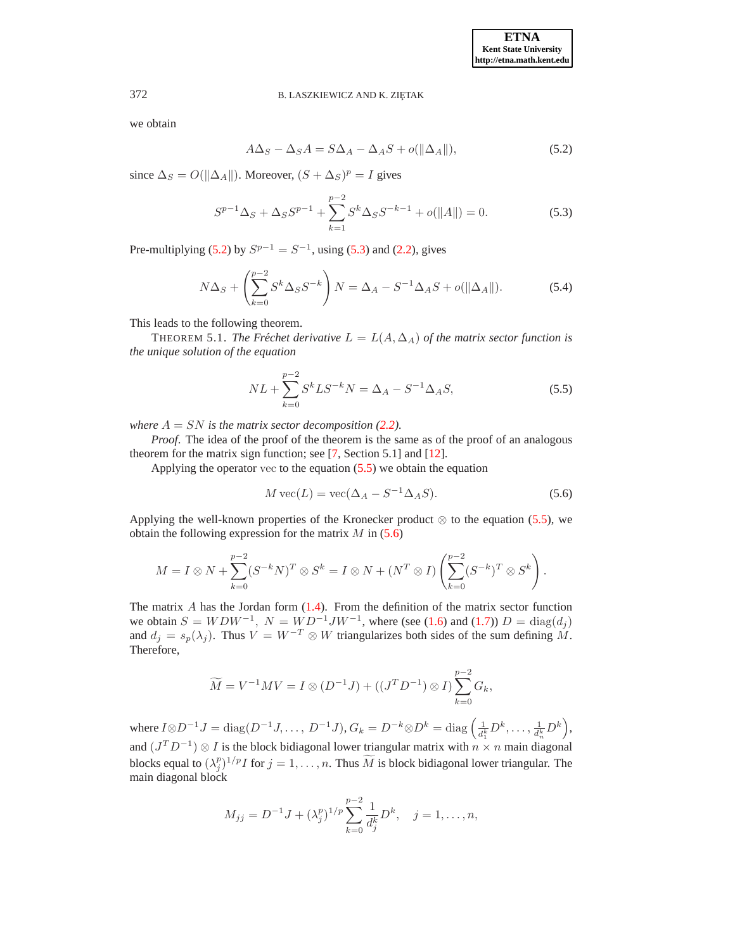<span id="page-14-0"></span>we obtain

$$
A\Delta_S - \Delta_S A = S\Delta_A - \Delta_A S + o(||\Delta_A||),\tag{5.2}
$$

<span id="page-14-1"></span>since  $\Delta_S = O(||\Delta_A||)$ . Moreover,  $(S + \Delta_S)^p = I$  gives

$$
S^{p-1}\Delta_S + \Delta_S S^{p-1} + \sum_{k=1}^{p-2} S^k \Delta_S S^{-k-1} + o(||A||) = 0.
$$
 (5.3)

<span id="page-14-4"></span>Pre-multiplying [\(5.2\)](#page-14-0) by  $S^{p-1} = S^{-1}$ , using [\(5.3\)](#page-14-1) and [\(2.2\)](#page-2-2), gives

$$
N\Delta_S + \left(\sum_{k=0}^{p-2} S^k \Delta_S S^{-k}\right) N = \Delta_A - S^{-1} \Delta_A S + o(\|\Delta_A\|). \tag{5.4}
$$

<span id="page-14-5"></span>This leads to the following theorem.

THEOREM 5.1. *The Fréchet derivative*  $L = L(A, \Delta_A)$  *of the matrix sector function is the unique solution of the equation*

$$
NL + \sum_{k=0}^{p-2} S^k L S^{-k} N = \Delta_A - S^{-1} \Delta_A S,
$$
\n(5.5)

<span id="page-14-2"></span>*where*  $A = SN$  *is the matrix sector decomposition [\(2.2\)](#page-2-2).* 

*Proof.* The idea of the proof of the theorem is the same as of the proof of an analogous theorem for the matrix sign function; see [\[7,](#page-24-0) Section 5.1] and [\[12\]](#page-24-6).

<span id="page-14-3"></span>Applying the operator vec to the equation  $(5.5)$  we obtain the equation

$$
M \operatorname{vec}(L) = \operatorname{vec}(\Delta_A - S^{-1} \Delta_A S). \tag{5.6}
$$

Applying the well-known properties of the Kronecker product  $\otimes$  to the equation [\(5.5\)](#page-14-2), we obtain the following expression for the matrix  $M$  in [\(5.6\)](#page-14-3)

$$
M = I \otimes N + \sum_{k=0}^{p-2} (S^{-k}N)^T \otimes S^k = I \otimes N + (N^T \otimes I) \left( \sum_{k=0}^{p-2} (S^{-k})^T \otimes S^k \right).
$$

The matrix  $A$  has the Jordan form  $(1.4)$ . From the definition of the matrix sector function we obtain  $S = WDW^{-1}$ ,  $N = WD^{-1}JW^{-1}$ , where (see [\(1.6\)](#page-1-0) and [\(1.7\)](#page-1-1))  $D = \text{diag}(d_j)$ and  $d_j = s_p(\lambda_j)$ . Thus  $V = W^{-T} \otimes W$  triangularizes both sides of the sum defining M. Therefore,

$$
\widetilde{M} = V^{-1}MV = I \otimes (D^{-1}J) + ((J^T D^{-1}) \otimes I) \sum_{k=0}^{p-2} G_k,
$$

where  $I \otimes D^{-1}J = \text{diag}(D^{-1}J, \ldots, D^{-1}J), G_k = D^{-k} \otimes D^k = \text{diag}\left(\frac{1}{d_1^k}D^k, \ldots, \frac{1}{d_n^k}D^k\right)$ , and  $(J^T D^{-1}) \otimes I$  is the block bidiagonal lower triangular matrix with  $n \times n$  main diagonal blocks equal to  $(\lambda_j^p)^{1/p} I$  for  $j = 1, \ldots, n$ . Thus  $\widetilde{M}$  is block bidiagonal lower triangular. The

main diagonal block  $M_{jj} = D^{-1}J + (\lambda_j^p)^{1/p}\sum^{p-2}$ 1  $d^k_j$  $D^k$ ,  $j=1,\ldots,n$ ,

 $k=0$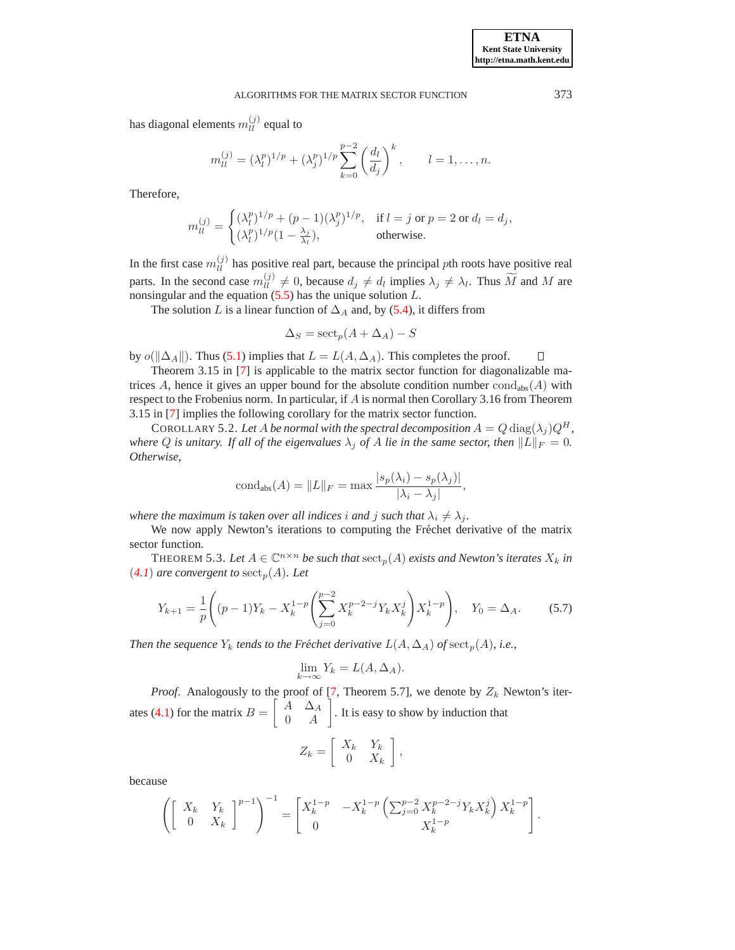has diagonal elements  $m_{ll}^{(j)}$  equal to

$$
m_{ll}^{(j)} = (\lambda_l^p)^{1/p} + (\lambda_j^p)^{1/p} \sum_{k=0}^{p-2} \left(\frac{d_l}{d_j}\right)^k, \qquad l = 1, \dots, n.
$$

Therefore,

$$
m_{ll}^{(j)} = \begin{cases} (\lambda_l^p)^{1/p} + (p-1)(\lambda_j^p)^{1/p}, & \text{if } l = j \text{ or } p = 2 \text{ or } d_l = d_j, \\ (\lambda_l^p)^{1/p} (1 - \frac{\lambda_j}{\lambda_l}), & \text{otherwise.} \end{cases}
$$

In the first case  $m_{ll}^{(j)}$  has positive real part, because the principal pth roots have positive real parts. In the second case  $m_{ll}^{(j)} \neq 0$ , because  $d_j \neq d_l$  implies  $\lambda_j \neq \lambda_l$ . Thus  $\widetilde{M}$  and M are nonsingular and the equation  $(5.5)$  has the unique solution  $L$ .

The solution L is a linear function of  $\Delta_A$  and, by [\(5.4\)](#page-14-4), it differs from

$$
\Delta_S = \operatorname{sect}_p(A + \Delta_A) - S
$$

by  $o(\|\Delta_A\|)$ . Thus [\(5.1\)](#page-13-2) implies that  $L = L(A, \Delta_A)$ . This completes the proof. П

Theorem 3.15 in [\[7\]](#page-24-0) is applicable to the matrix sector function for diagonalizable matrices A, hence it gives an upper bound for the absolute condition number  $cond<sub>abs</sub>(A)$  with respect to the Frobenius norm. In particular, if A is normal then Corollary 3.16 from Theorem 3.15 in [\[7\]](#page-24-0) implies the following corollary for the matrix sector function.

COROLLARY 5.2. Let A be normal with the spectral decomposition  $A = Q \text{diag}(\lambda_j) Q^H$ , *where* Q *is unitary. If all of the eigenvalues*  $\lambda_j$  *of* A *lie in the same sector, then*  $||L||_F = 0$ *. Otherwise,*

$$
condabs(A) = ||L||F = max \frac{|s_p(\lambda_i) - s_p(\lambda_j)|}{|\lambda_i - \lambda_j|},
$$

*where the maximum is taken over all indices i and j such that*  $\lambda_i \neq \lambda_j$ *.* 

<span id="page-15-1"></span>We now apply Newton's iterations to computing the Fréchet derivative of the matrix sector function.

THEOREM 5.3. Let  $A \in \mathbb{C}^{n \times n}$  be such that  $\mathrm{sect}_p(A)$  exists and Newton's iterates  $X_k$  in  $(4.1)$  $(4.1)$  $(4.1)$  are convergent to sect<sub>p</sub> $(A)$ *. Let* 

$$
Y_{k+1} = \frac{1}{p} \left( (p-1)Y_k - X_k^{1-p} \left( \sum_{j=0}^{p-2} X_k^{p-2-j} Y_k X_k^j \right) X_k^{1-p} \right), \quad Y_0 = \Delta_A. \tag{5.7}
$$

<span id="page-15-0"></span>*Then the sequence*  $Y_k$  *tends to the Fréchet derivative*  $L(A, \Delta_A)$  *of*  $\mathrm{sect}_p(A)$ *, i.e.,* 

$$
\lim_{k \to \infty} Y_k = L(A, \Delta_A).
$$

*Proof.* Analogously to the proof of [\[7,](#page-24-0) Theorem 5.7], we denote by  $Z_k$  Newton's iter-ates [\(4.1\)](#page-8-1) for the matrix  $B =$  $\begin{bmatrix} A & \Delta_A \end{bmatrix}$  $0 \quad A$ 1 . It is easy to show by induction that

$$
Z_k = \left[ \begin{array}{cc} X_k & Y_k \\ 0 & X_k \end{array} \right],
$$

because

$$
\left( \begin{bmatrix} X_k & Y_k \\ 0 & X_k \end{bmatrix}^{p-1} \right)^{-1} = \begin{bmatrix} X_k^{1-p} & -X_k^{1-p} \left( \sum_{j=0}^{p-2} X_k^{p-2-j} Y_k X_k^j \right) X_k^{1-p} \\ 0 & X_k^{1-p} \end{bmatrix}
$$

.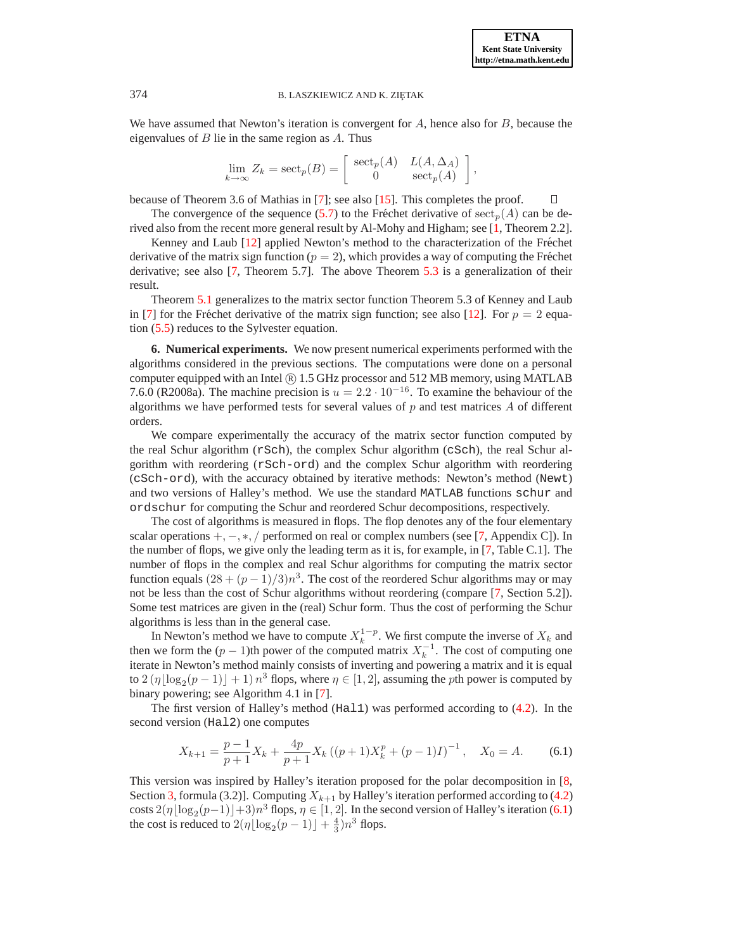We have assumed that Newton's iteration is convergent for  $A$ , hence also for  $B$ , because the eigenvalues of  $B$  lie in the same region as  $A$ . Thus

$$
\lim_{k \to \infty} Z_k = \mathrm{sect}_p(B) = \begin{bmatrix} \mathrm{sect}_p(A) & L(A, \Delta_A) \\ 0 & \mathrm{sect}_p(A) \end{bmatrix},
$$

because of Theorem 3.6 of Mathias in [\[7\]](#page-24-0); see also [\[15\]](#page-25-6). This completes the proof.  $\Box$ 

The convergence of the sequence [\(5.7\)](#page-15-0) to the Fréchet derivative of  ${\rm sect}_n(A)$  can be derived also from the recent more general result by Al-Mohy and Higham; see [\[1,](#page-24-7) Theorem 2.2].

Kenney and Laub [\[12\]](#page-24-6) applied Newton's method to the characterization of the Fréchet derivative of the matrix sign function ( $p = 2$ ), which provides a way of computing the Fréchet derivative; see also [\[7,](#page-24-0) Theorem 5.7]. The above Theorem [5.3](#page-15-1) is a generalization of their result.

Theorem [5.1](#page-14-5) generalizes to the matrix sector function Theorem 5.3 of Kenney and Laub in [\[7\]](#page-24-0) for the Fréchet derivative of the matrix sign function; see also [[12\]](#page-24-6). For  $p = 2$  equation [\(5.5\)](#page-14-2) reduces to the Sylvester equation.

<span id="page-16-0"></span>**6. Numerical experiments.** We now present numerical experiments performed with the algorithms considered in the previous sections. The computations were done on a personal computer equipped with an Intel  $\binom{R}{1.5 \text{ GHz}}$  processor and 512 MB memory, using MATLAB 7.6.0 (R2008a). The machine precision is  $u = 2.2 \cdot 10^{-16}$ . To examine the behaviour of the algorithms we have performed tests for several values of  $p$  and test matrices  $\tilde{A}$  of different orders.

We compare experimentally the accuracy of the matrix sector function computed by the real Schur algorithm ( $rSch$ ), the complex Schur algorithm ( $cSch$ ), the real Schur algorithm with reordering (rSch-ord) and the complex Schur algorithm with reordering (cSch-ord), with the accuracy obtained by iterative methods: Newton's method (Newt) and two versions of Halley's method. We use the standard MATLAB functions schur and ordschur for computing the Schur and reordered Schur decompositions, respectively.

The cost of algorithms is measured in flops. The flop denotes any of the four elementary scalar operations  $+,-,*,/$  performed on real or complex numbers (see [\[7,](#page-24-0) Appendix C]). In the number of flops, we give only the leading term as it is, for example, in [\[7,](#page-24-0) Table C.1]. The number of flops in the complex and real Schur algorithms for computing the matrix sector function equals  $(28 + (p-1)/3)n^3$ . The cost of the reordered Schur algorithms may or may not be less than the cost of Schur algorithms without reordering (compare [\[7,](#page-24-0) Section 5.2]). Some test matrices are given in the (real) Schur form. Thus the cost of performing the Schur algorithms is less than in the general case.

In Newton's method we have to compute  $X_k^{1-p}$ . We first compute the inverse of  $X_k$  and then we form the  $(p-1)$ th power of the computed matrix  $X_k^{-1}$ . The cost of computing one iterate in Newton's method mainly consists of inverting and powering a matrix and it is equal to  $2(\eta \lfloor \log_2(p-1) \rfloor + 1) n^3$  flops, where  $\eta \in [1, 2]$ , assuming the *p*th power is computed by binary powering; see Algorithm 4.1 in [\[7\]](#page-24-0).

The first version of Halley's method (Hal1) was performed according to [\(4.2\)](#page-8-5). In the second version (Hal2) one computes

$$
X_{k+1} = \frac{p-1}{p+1} X_k + \frac{4p}{p+1} X_k ((p+1)X_k^p + (p-1)I)^{-1}, \quad X_0 = A.
$$
 (6.1)

<span id="page-16-1"></span>This version was inspired by Halley's iteration proposed for the polar decomposition in [\[8,](#page-24-11) Section [3,](#page-3-0) formula (3.2)]. Computing  $X_{k+1}$  by Halley's iteration performed according to [\(4.2\)](#page-8-5) costs  $2(\eta \lfloor \log_2 (p-1) \rfloor + 3)n^3$  flops,  $\eta \in [1, 2]$ . In the second version of Halley's iteration [\(6.1\)](#page-16-1) the cost is reduced to  $2(\eta \lfloor \log_2(p-1) \rfloor + \frac{4}{3})n^3$  flops.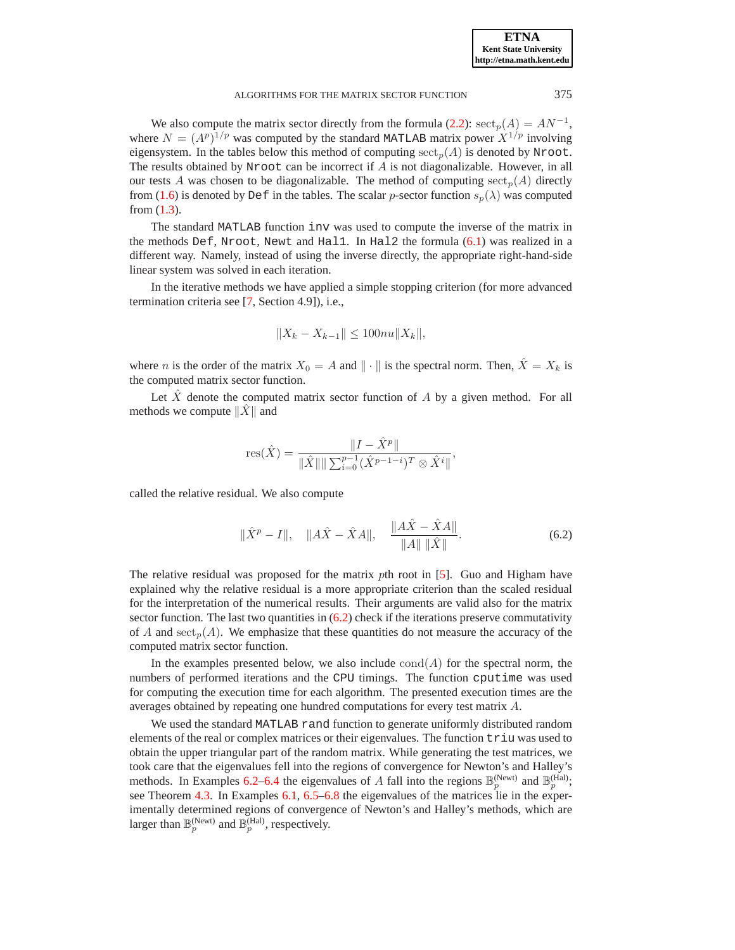We also compute the matrix sector directly from the formula [\(2.2\)](#page-2-2):  $\operatorname{sect}_p(A) = AN^{-1}$ , where  $N = (A^p)^{1/p}$  was computed by the standard MATLAB matrix power  $X^{1/p}$  involving eigensystem. In the tables below this method of computing  $\operatorname{sect}_p(A)$  is denoted by Nroot. The results obtained by Nroot can be incorrect if  $A$  is not diagonalizable. However, in all our tests A was chosen to be diagonalizable. The method of computing  $\sec_p(A)$  directly from [\(1.6\)](#page-1-0) is denoted by Def in the tables. The scalar p-sector function  $s_n(\lambda)$  was computed from [\(1.3\)](#page-0-2).

The standard MATLAB function inv was used to compute the inverse of the matrix in the methods Def, Nroot, Newt and Hall. In Hal2 the formula  $(6.1)$  was realized in a different way. Namely, instead of using the inverse directly, the appropriate right-hand-side linear system was solved in each iteration.

In the iterative methods we have applied a simple stopping criterion (for more advanced termination criteria see [\[7,](#page-24-0) Section 4.9]), i.e.,

$$
||X_k - X_{k-1}|| \le 100nu ||X_k||,
$$

where *n* is the order of the matrix  $X_0 = A$  and  $\| \cdot \|$  is the spectral norm. Then,  $\hat{X} = X_k$  is the computed matrix sector function.

Let  $\overline{X}$  denote the computed matrix sector function of  $\overline{A}$  by a given method. For all methods we compute  $\|X\|$  and

res(
$$
\hat{X}
$$
) = 
$$
\frac{\|I - \hat{X}^p\|}{\|\hat{X}\| \|\sum_{i=0}^{p-1} (\hat{X}^{p-1-i})^T \otimes \hat{X}^i\|},
$$

<span id="page-17-0"></span>called the relative residual. We also compute

$$
\|\hat{X}^{p} - I\|, \quad \|A\hat{X} - \hat{X}A\|, \quad \frac{\|A\hat{X} - \hat{X}A\|}{\|A\| \|\hat{X}\|}.
$$
 (6.2)

The relative residual was proposed for the matrix pth root in [\[5\]](#page-24-12). Guo and Higham have explained why the relative residual is a more appropriate criterion than the scaled residual for the interpretation of the numerical results. Their arguments are valid also for the matrix sector function. The last two quantities in  $(6.2)$  check if the iterations preserve commutativity of A and  $\operatorname{sect}_p(A)$ . We emphasize that these quantities do not measure the accuracy of the computed matrix sector function.

In the examples presented below, we also include  $\text{cond}(A)$  for the spectral norm, the numbers of performed iterations and the CPU timings. The function cputime was used for computing the execution time for each algorithm. The presented execution times are the averages obtained by repeating one hundred computations for every test matrix A.

We used the standard MATLAB rand function to generate uniformly distributed random elements of the real or complex matrices or their eigenvalues. The function  $triu$  was used to obtain the upper triangular part of the random matrix. While generating the test matrices, we took care that the eigenvalues fell into the regions of convergence for Newton's and Halley's methods. In Examples [6.2](#page-18-0)[–6.4](#page-19-0) the eigenvalues of A fall into the regions  $\mathbb{B}_p^{(\text{Newt})}$  and  $\mathbb{B}_p^{(\text{Hall})}$ ; see Theorem [4.3.](#page-10-3) In Examples [6.1,](#page-18-1) [6.5](#page-19-1)[–6.8](#page-22-0) the eigenvalues of the matrices lie in the experimentally determined regions of convergence of Newton's and Halley's methods, which are larger than  $\mathbb{B}_p^{(\text{Newt})}$  and  $\mathbb{B}_p^{(\text{Hal})}$ , respectively.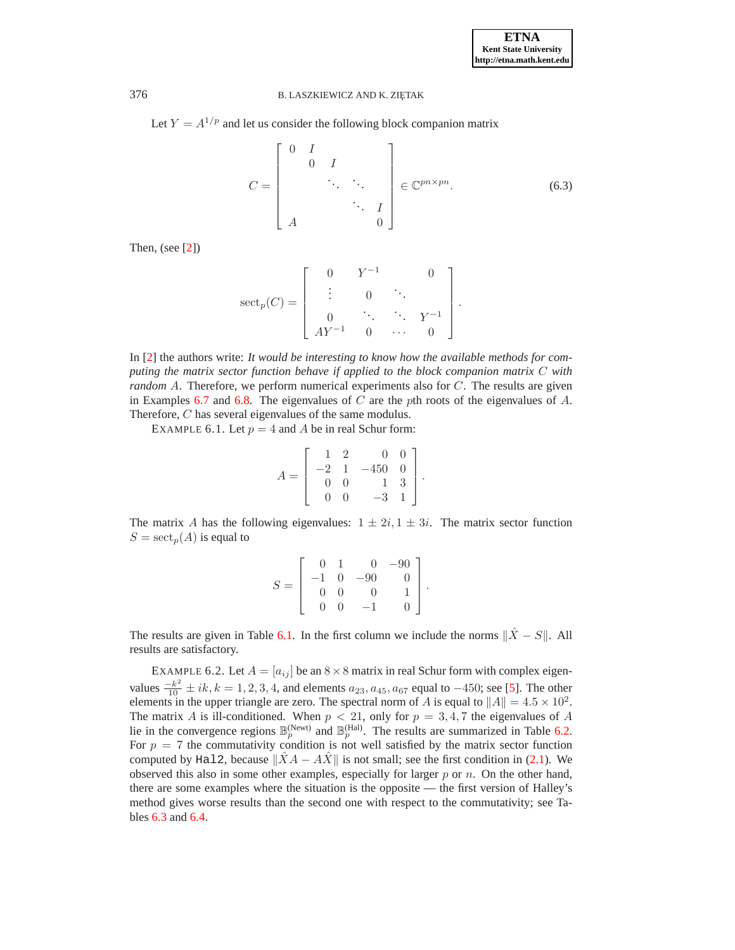<span id="page-18-2"></span>Let  $Y = A^{1/p}$  and let us consider the following block companion matrix

$$
C = \begin{bmatrix} 0 & I & & & \\ & 0 & I & & \\ & & \ddots & \ddots & \\ & & & \ddots & I \\ A & & & & 0 \end{bmatrix} \in \mathbb{C}^{pn \times pn}.
$$
 (6.3)

Then, (see [\[2\]](#page-24-4))

$$
\mathrm{sect}_p(C) = \left[ \begin{array}{ccccc} 0 & Y^{-1} & & 0 \\ \vdots & & 0 & \ddots & \\ 0 & & \ddots & \ddots & Y^{-1} \\ AY^{-1} & 0 & \cdots & 0 \end{array} \right].
$$

<span id="page-18-1"></span>In [\[2\]](#page-24-4) the authors write: *It would be interesting to know how the available methods for computing the matrix sector function behave if applied to the block companion matrix* C *with random* A. Therefore, we perform numerical experiments also for C. The results are given in Examples [6.7](#page-21-0) and [6.8.](#page-22-0) The eigenvalues of  $C$  are the pth roots of the eigenvalues of  $A$ . Therefore, C has several eigenvalues of the same modulus.

EXAMPLE 6.1. Let  $p = 4$  and A be in real Schur form:

$$
A = \left[ \begin{array}{rrr} 1 & 2 & 0 & 0 \\ -2 & 1 & -450 & 0 \\ 0 & 0 & 1 & 3 \\ 0 & 0 & -3 & 1 \end{array} \right].
$$

The matrix A has the following eigenvalues:  $1 \pm 2i$ ,  $1 \pm 3i$ . The matrix sector function  $S = \operatorname{sect}_p(A)$  is equal to

$$
S = \left[ \begin{array}{rrrr} 0 & 1 & 0 & -90 \\ -1 & 0 & -90 & 0 \\ 0 & 0 & 0 & 1 \\ 0 & 0 & -1 & 0 \end{array} \right]
$$

.

The results are given in Table [6.1.](#page-19-2) In the first column we include the norms  $\|\hat{X} - S\|$ . All results are satisfactory.

<span id="page-18-0"></span>EXAMPLE 6.2. Let  $A = [a_{ij}]$  be an  $8 \times 8$  matrix in real Schur form with complex eigenvalues  $\frac{-k^2}{10} \pm ik, k = 1, 2, 3, 4$ , and elements  $a_{23}, a_{45}, a_{67}$  equal to  $-450$ ; see [\[5\]](#page-24-12). The other elements in the upper triangle are zero. The spectral norm of A is equal to  $||A|| = 4.5 \times 10^2$ . The matrix A is ill-conditioned. When  $p < 21$ , only for  $p = 3, 4, 7$  the eigenvalues of A lie in the convergence regions  $\mathbb{B}_p^{(\text{Newt})}$  and  $\mathbb{B}_p^{(\text{Hal})}$ . The results are summarized in Table [6.2.](#page-19-3) For  $p = 7$  the commutativity condition is not well satisfied by the matrix sector function computed by Hal2, because  $||XA - AX||$  is not small; see the first condition in [\(2.1\)](#page-2-1). We observed this also in some other examples, especially for larger  $p$  or  $n$ . On the other hand, there are some examples where the situation is the opposite — the first version of Halley's method gives worse results than the second one with respect to the commutativity; see Tables [6.3](#page-20-0) and [6.4.](#page-20-1)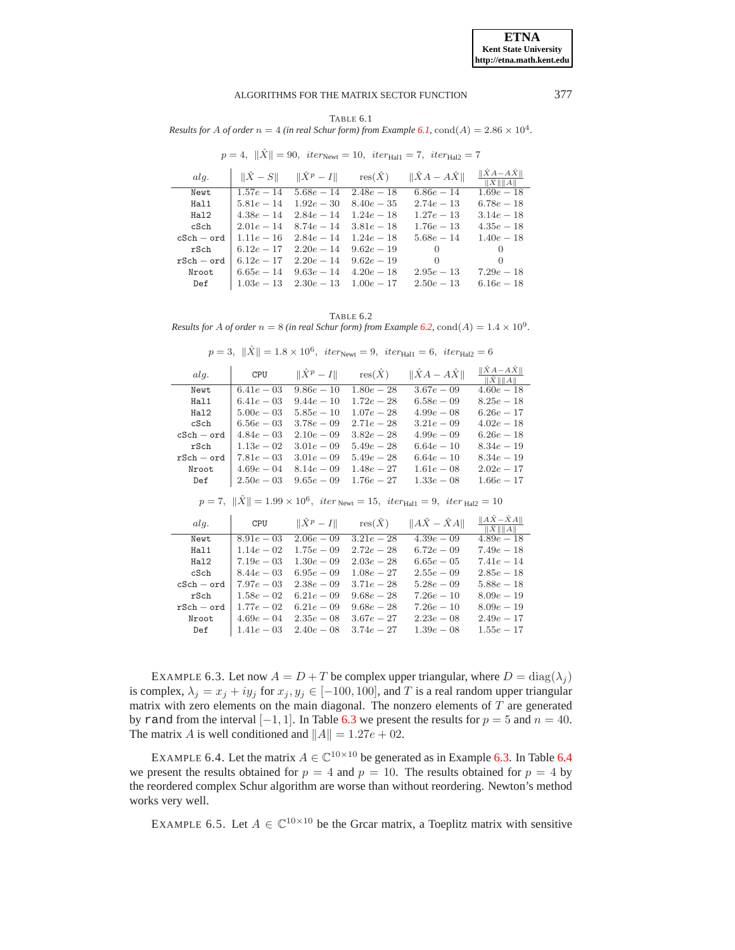$1.55e - 17$ 

#### ALGORITHMS FOR THE MATRIX SECTOR FUNCTION

TABLE 6.1

<span id="page-19-2"></span>Results for A of order  $n = 4$  (in real Schur form) from Example 6.1, cond(A) = 2.86  $\times$  10<sup>4</sup>.

 $p = 4, ||\hat{X}|| = 90, iter_{\text{Newt}} = 10, iter_{\text{Hall}} = 7, iter_{\text{Hall}} = 7$ 

| ala.         |              |              | $\ \hat{X} - S\ $ $\ \hat{X}^p - I\ $ $\operatorname{res}(\hat{X})$ | $\ \hat{X}A - A\hat{X}\ $ | $\ \hat{X}A - A\hat{X}\ $<br>$\ \hat{X}\ \ A\ $ |
|--------------|--------------|--------------|---------------------------------------------------------------------|---------------------------|-------------------------------------------------|
| Newt         | $1.57e - 14$ | $5.68e - 14$ | $2.48e - 18$                                                        | $6.86e-14$                | $1.69e - 18$                                    |
| Hal1         | $5.81e - 14$ | $1.92e - 30$ | $8.40e - 35$                                                        | $2.74e - 13$              | $6.78e - 18$                                    |
| Hal2         | $4.38e - 14$ | $2.84e - 14$ | $1.24e - 18$                                                        | $1.27e - 13$              | $3.14e - 18$                                    |
| cSch         | $2.01e - 14$ | $8.74e - 14$ | $3.81e - 18$                                                        | $1.76e - 13$              | $4.35e - 18$                                    |
| $cSch - ord$ | $1.11e-16$   | $2.84e - 14$ | $1.24e - 18$                                                        | $5.68e - 14$              | $1.40e - 18$                                    |
| rSch         | $6.12e - 17$ | $2.20e - 14$ | $9.62e - 19$                                                        | $\theta$                  | $\left( \right)$                                |
| $rSch - ord$ | $6.12e - 17$ | $2.20e - 14$ | $9.62e - 19$                                                        | 0                         | $\theta$                                        |
| Nroot        | $6.65e-14$   | $9.63e - 14$ | $4.20e - 18$                                                        | $2.95e - 13$              | $7.29e - 18$                                    |
| Def          | $1.03e - 13$ | $2.30e - 13$ | $1.00e - 17$                                                        | $2.50e - 13$              | $6.16e - 18$                                    |
|              |              |              |                                                                     |                           |                                                 |

TABLE 6.2

<span id="page-19-3"></span>Results for A of order  $n = 8$  (in real Schur form) from Example 6.2, cond(A) =  $1.4 \times 10^9$ .

|  | $p = 3, \ X\  = 1.8 \times 10^6,$ $iter_{\text{Newt}} = 9,$ $iter_{\text{Hall}} = 6,$ $iter_{\text{Hall}} = 6$ |  |  |  |
|--|----------------------------------------------------------------------------------------------------------------|--|--|--|
|--|----------------------------------------------------------------------------------------------------------------|--|--|--|

| alg.         | CPU           | $\ \hat{X}^p-I\ $ | $res(\hat{X})$ | $\ \hat{X}A - A\hat{X}\ $                                                                                                                 | $\ \hat{X}A - A\hat{X}\ $<br>$\ \hat{X}\ \ A\ $ |
|--------------|---------------|-------------------|----------------|-------------------------------------------------------------------------------------------------------------------------------------------|-------------------------------------------------|
| Newt         | $6.41e - 03$  | $9.86e - 10$      | $1.80e - 28$   | $3.67e - 09$                                                                                                                              | $4.60e - 18$                                    |
| Hal1         | $6.41e - 03$  | $9.44e - 10$      | $1.72e - 28$   | $6.58e - 09$                                                                                                                              | $8.25e - 18$                                    |
| Hal2         | $5.00e - 03$  | $5.85e - 10$      | $1.07e - 28$   | $4.99e - 08$                                                                                                                              | $6.26e - 17$                                    |
| cSch         | $6.56e - 03$  | $3.78e - 09$      | $2.71e - 28$   | $3.21e - 0.9$                                                                                                                             | $4.02e - 18$                                    |
| $cSch - ord$ | $4.84e - 03$  | $2.10e - 0.9$     | $3.82e - 28$   | $4.99e - 09$                                                                                                                              | $6.26e - 18$                                    |
| rSch         | $1.13e - 02$  | $3.01e - 0.9$     | $5.49e - 28$   | $6.64e - 10$                                                                                                                              | $8.34e - 19$                                    |
| $rSch - ord$ | $7.81e - 03$  | $3.01e - 0.9$     | $5.49e - 28$   | $6.64e - 10$                                                                                                                              | $8.34e - 19$                                    |
| Nroot        | $4.69e - 04$  | $8.14e - 09$      | $1.48e - 27$   | $1.61e-08$                                                                                                                                | $2.02e - 17$                                    |
| Def          | $2.50e - 03$  | $9.65e - 09$      | $1.76e - 27$   | $1.33e - 08$                                                                                                                              | $1.66e - 17$                                    |
|              |               |                   |                |                                                                                                                                           |                                                 |
|              |               |                   |                | $p = 7, \ \hat{X}\  = 1.99 \times 10^6, \text{ iter}_{\text{Newt}} = 15, \text{ iter}_{\text{Hall}} = 9, \text{ iter}_{\text{Hall}} = 10$ |                                                 |
| alg.         | CPU           | $\ \hat{X}^p-I\ $ | $res(\hat{X})$ | $  A\hat{X} - \hat{X}A  $                                                                                                                 | $  A\hat{X}-\hat{X}A  $<br>  X     A            |
| Newt         | $8.91e - 03$  | $2.06e - 0.9$     | $3.21e - 28$   | $4.39e - 0.9$                                                                                                                             | $4.89e - 18$                                    |
| Hal1         | $1.14e - 02$  | $1.75e - 09$      | $2.72e - 28$   | $6.72e - 09$                                                                                                                              | $7.49e - 18$                                    |
| Ha12         | $7.19e - 03$  | $1.30e - 0.9$     | $2.03e - 28$   | $6.65e - 05$                                                                                                                              | $7.41e - 14$                                    |
| cSch         | $8.44e - 03$  | $6.95e - 09$      | $1.08e - 27$   | $2.55e - 09$                                                                                                                              | $2.85e - 18$                                    |
| $cSch - ord$ | $7.97e - 03$  | $2.38e - 0.9$     | $3.71e - 28$   | $5.28e - 09$                                                                                                                              | $5.88e - 18$                                    |
| rSch         | $1.58e - 02$  | $6.21e - 0.9$     | $9.68e - 28$   | $7.26e - 10$                                                                                                                              | $8.09e - 19$                                    |
| $rSch - ord$ | $1.77e - 0.2$ | $6.21e - 0.9$     | $9.68e - 28$   | $7.26e - 10$                                                                                                                              | $8.09e - 19$                                    |

<span id="page-19-4"></span>EXAMPLE 6.3. Let now  $A = D + T$  be complex upper triangular, where  $D = diag(\lambda_j)$ is complex,  $\lambda_j = x_j + iy_j$  for  $x_j, y_j \in [-100, 100]$ , and T is a real random upper triangular matrix with zero elements on the main diagonal. The nonzero elements of  $T$  are generated by rand from the interval  $[-1, 1]$ . In Table 6.3 we present the results for  $p = 5$  and  $n = 40$ . The matrix A is well conditioned and  $||A|| = 1.27e + 02$ .

 $1.41e-03$   $2.40e-08$   $3.74e-27$   $1.39e-08$ 

Def

<span id="page-19-1"></span><span id="page-19-0"></span>EXAMPLE 6.4. Let the matrix  $A \in \mathbb{C}^{10 \times 10}$  be generated as in Example 6.3. In Table 6.4 we present the results obtained for  $p = 4$  and  $p = 10$ . The results obtained for  $p = 4$  by the reordered complex Schur algorithm are worse than without reordering. Newton's method works very well.

EXAMPLE 6.5. Let  $A \in \mathbb{C}^{10 \times 10}$  be the Grear matrix, a Toeplitz matrix with sensitive

377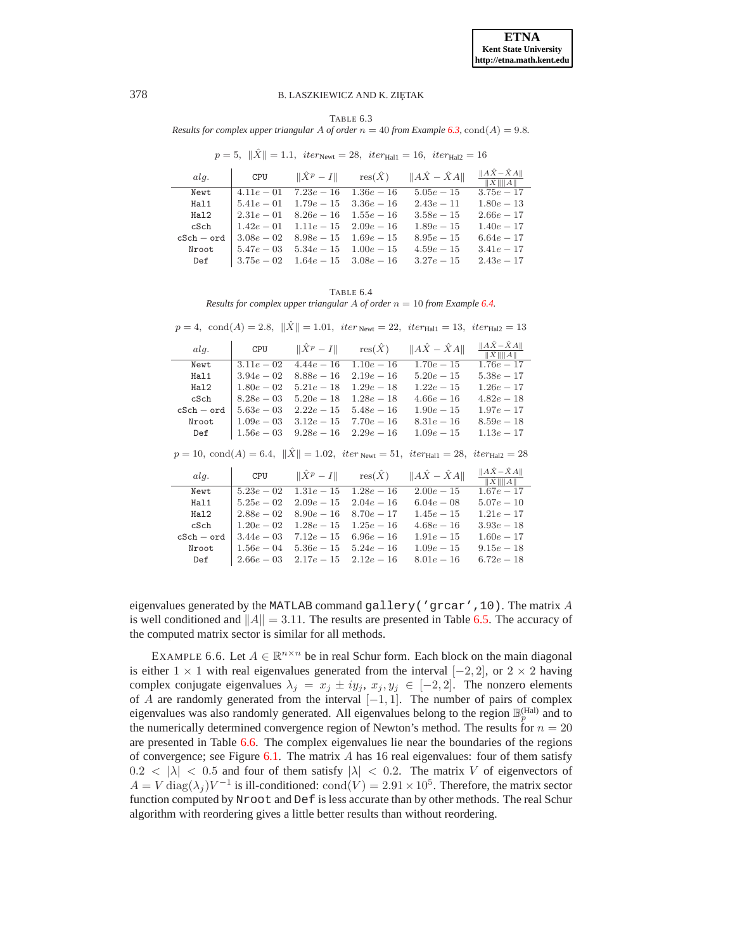TABLE 6.3

<span id="page-20-0"></span>Results for complex upper triangular A of order  $n = 40$  from Example 6.3, cond(A) = 9.8.

 $p = 5, \|\hat{X}\| = 1.1, \text{ iter}_{\text{Newt}} = 28, \text{ iter}_{\text{Hall}} = 16, \text{ iter}_{\text{Hall}} = 16$ 

| a l q.       | CPU           |                           |              | $\ \hat{X}^p - I\ $ $res(\hat{X})$ $\ A\hat{X} - \hat{X}A\ $ | $  A\hat{X}-\hat{X}A  $<br>$\ \hat{X}\ \ A\ $ |
|--------------|---------------|---------------------------|--------------|--------------------------------------------------------------|-----------------------------------------------|
| Newt         | $4.11e - 01$  | $7.23e - 16$              | $1.36e - 16$ | $5.05e - 15$                                                 | $3.75e - 17$                                  |
| Hal1         | $5.41e - 01$  | $1.79e - 15$              | $3.36e - 16$ | $2.43e - 11$                                                 | $1.80e - 13$                                  |
| Hal2         | $2.31e - 01$  | $8.26e - 16$              | $1.55e - 16$ | $3.58e - 15$                                                 | $2.66e - 17$                                  |
| cSch         | $1.42e - 01$  | $1.11e-15$ $2.09e-16$     |              | $1.89e - 15$                                                 | $1.40e - 17$                                  |
| $cSch - ord$ | $3.08e - 02$  | $8.98e - 15$              | $1.69e - 15$ | $8.95e - 15$                                                 | $6.64e - 17$                                  |
| Nroot        | $5.47e - 0.3$ | $5.34e-15$ $1.00e-15$     |              | $4.59e - 15$                                                 | $3.41e - 17$                                  |
| Def          | $3.75e - 02$  | $1.64e - 15$ $3.08e - 16$ |              | $3.27e - 15$                                                 | $2.43e - 17$                                  |
|              |               |                           |              |                                                              |                                               |

TABLE 6.4 Results for complex upper triangular A of order  $n = 10$  from Example 6.4.

| alg.         | CPU           | $\ \hat{X}^p-I\ $ | $res(\hat{X})$ | $  A\hat{X} - \hat{X}A  $                                                                                                        | $  A\hat{X}-\hat{X}A  $<br>$\ \hat{X}\ \ A\ $ |
|--------------|---------------|-------------------|----------------|----------------------------------------------------------------------------------------------------------------------------------|-----------------------------------------------|
| Newt         | $3.11e - 0.2$ | $4.44e - 16$      | $1.10e-16$     | $1.70e - 15$                                                                                                                     | $1.76e - 17$                                  |
| Hal1         | $3.94e - 02$  | $8.88e - 16$      | $2.19e - 16$   | $5.20e - 15$                                                                                                                     | $5.38e - 17$                                  |
| Hal2         | $1.80e - 0.2$ | $5.21e - 18$      | $1.29e - 18$   | $1.22e - 15$                                                                                                                     | $1.26e - 17$                                  |
| cSch         | $8.28e - 03$  | $5.20e - 18$      | $1.28e - 18$   | $4.66e-16$                                                                                                                       | $4.82e - 18$                                  |
| $cSch - ord$ | $5.63e - 03$  | $2.22e - 15$      | $5.48e - 16$   | $1.90e - 15$                                                                                                                     | $1.97e - 17$                                  |
| Nroot        | $1.09e - 03$  | $3.12e - 15$      | $7.70e - 16$   | $8.31e - 16$                                                                                                                     | $8.59e - 18$                                  |
| Def          | $1.56e - 03$  | $9.28e - 16$      | $2.29e - 16$   | $1.09e - 15$                                                                                                                     | $1.13e - 17$                                  |
|              |               |                   |                | $p = 10$ , cond(A) = 6.4, $\ \hat{X}\  = 1.02$ , iter <sub>Newt</sub> = 51, iter <sub>Hall</sub> = 28, iter <sub>Hal2</sub> = 28 |                                               |
| alg.         | CPU           | $\ \hat{X}^p-I\ $ | $res(\hat{X})$ | $  A\hat{X} - \hat{X}A  $                                                                                                        | $  A\hat{X}-\hat{X}A  $<br>  X     A          |
| Newt         | $5.23e - 02$  | $1.31e - 15$      | $1.28e - 16$   | $2.00e-15$                                                                                                                       | $1.67e - 17$                                  |
| Hal1         | $5.25e - 02$  | $2.09e - 15$      | $2.04e - 16$   | $6.04e - 08$                                                                                                                     | $5.07e - 10$                                  |
| Ha12         | $2.88e - 02$  | $8.90e - 16$      | $8.70e - 17$   | $1.45e - 15$                                                                                                                     | $1.21e - 17$                                  |
| cSch         | $1.20e - 0.2$ | $1.28e - 15$      | $1.25e - 16$   | $4.68e - 16$                                                                                                                     | $3.93e - 18$                                  |
| $cSch - ord$ | $3.44e - 03$  | $7.12e - 15$      | $6.96e - 16$   | $1.91e-15$                                                                                                                       | $1.60e - 17$                                  |
| Nroot        | $1.56e - 04$  | $5.36e - 15$      | $5.24e - 16$   | $1.09e - 15$                                                                                                                     | $9.15e - 18$                                  |
| Def          | $2.66e - 03$  | $2.17e - 15$      | $2.12e - 16$   | $8.01e - 16$                                                                                                                     | $6.72e - 18$                                  |

<span id="page-20-1"></span> $p=4,\ \, \text{cond}(A)=2.8,\ \, \lVert \hat{X} \rVert=1.01,\ \, iter_{\text{Newt}}=22,\ \, iter_{\text{Hall}}=13,\ \, iter_{\text{Hal2}}=13$ 

eigenvalues generated by the MATLAB command gallery ( $'$ grcar', 10). The matrix A is well conditioned and  $||A|| = 3.11$ . The results are presented in Table 6.5. The accuracy of the computed matrix sector is similar for all methods.

<span id="page-20-2"></span>EXAMPLE 6.6. Let  $A \in \mathbb{R}^{n \times n}$  be in real Schur form. Each block on the main diagonal is either  $1 \times 1$  with real eigenvalues generated from the interval  $[-2, 2]$ , or  $2 \times 2$  having complex conjugate eigenvalues  $\lambda_j = x_j \pm iy_j, x_j, y_j \in [-2,2]$ . The nonzero elements of A are randomly generated from the interval  $[-1, 1]$ . The number of pairs of complex eigenvalues was also randomly generated. All eigenvalues belong to the region  $\mathbb{B}_n^{(Hal)}$  and to the numerically determined convergence region of Newton's method. The results for  $n = 20$ are presented in Table 6.6. The complex eigenvalues lie near the boundaries of the regions of convergence; see Figure 6.1. The matrix  $A$  has 16 real eigenvalues: four of them satisfy  $0.2 < |\lambda| < 0.5$  and four of them satisfy  $|\lambda| < 0.2$ . The matrix V of eigenvectors of  $A = V \text{diag}(\lambda_i) V^{-1}$  is ill-conditioned: cond $(V) = 2.91 \times 10^5$ . Therefore, the matrix sector function computed by Nroot and Def is less accurate than by other methods. The real Schur algorithm with reordering gives a little better results than without reordering.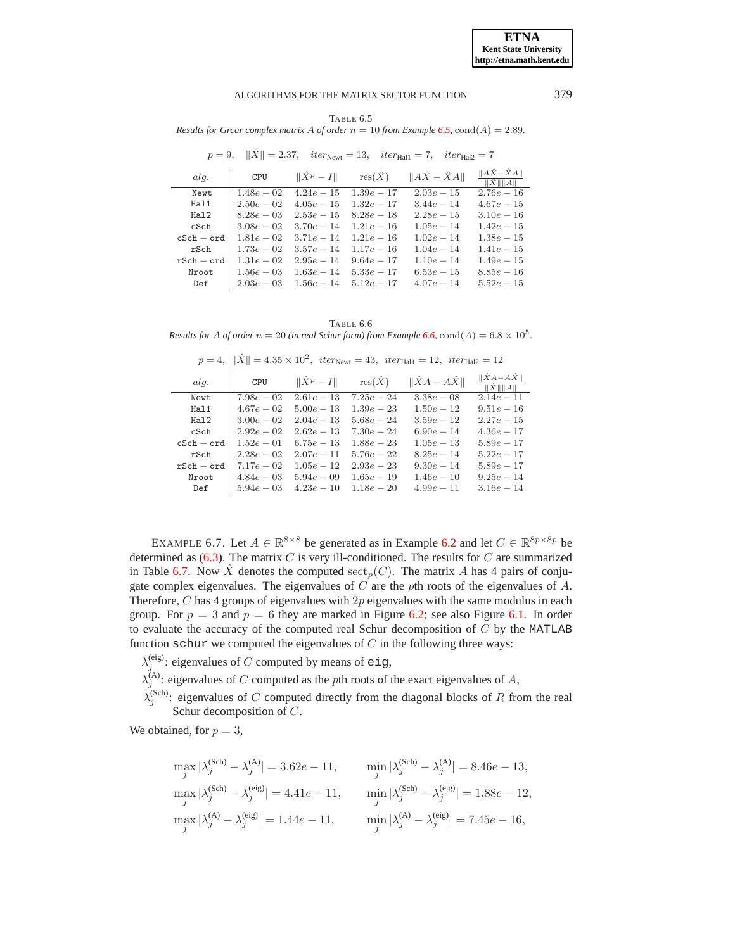TABLE 6.5 Results for Grcar complex matrix A of order  $n = 10$  from Example 6.5, cond(A) = 2.89.

<span id="page-21-1"></span>

|              |               |                   |                | $p = 9,$ $  X   = 2.37,$ $iter_{\text{Newt}} = 13,$ $iter_{\text{Hall}} = 7,$ $iter_{\text{Hall}} = 7$ |                                      |
|--------------|---------------|-------------------|----------------|--------------------------------------------------------------------------------------------------------|--------------------------------------|
| alg.         | CPU           | $\ \hat{X}^p-I\ $ | $res(\hat{X})$ | $  A\hat{X} - \hat{X}A  $                                                                              | $  A\hat{X}-\hat{X}A  $<br>  X     A |
| Newt         | $1.48e - 02$  | $4.24e - 15$      | $1.39e - 17$   | $2.03e-15$                                                                                             | $2.76e - 16$                         |
| Hal1         | $2.50e - 02$  | $4.05e-15$        | $1.32e - 17$   | $3.44e - 14$                                                                                           | $4.67e-15$                           |
| Ha12         | $8.28e - 03$  | $2.53e - 15$      | $8.28e - 18$   | $2.28e - 15$                                                                                           | $3.10e - 16$                         |
| cSch         | $3.08e - 02$  | $3.70e - 14$      | $1.21e-16$     | $1.05e-14$                                                                                             | $1.42e - 15$                         |
| $cSch - ord$ | $1.81e - 02$  | $3.71e - 14$      | $1.21e-16$     | $1.02e - 14$                                                                                           | $1.38e - 15$                         |
| rSch         | $1.73e - 02$  | $3.57e - 14$      | $1.17e-16$     | $1.04e - 14$                                                                                           | $1.41e - 15$                         |
| $rSch - ord$ | $1.31e - 0.2$ | $2.95e - 14$      | $9.64e - 17$   | $1.10e-14$                                                                                             | $1.49e - 15$                         |
| Nroot        | $1.56e - 03$  | $1.63e - 14$      | $5.33e - 17$   | $6.53e-15$                                                                                             | $8.85e - 16$                         |
| Def          | $2.03e - 03$  | $1.56e - 14$      | $5.12e - 17$   | $4.07e-14$                                                                                             | $5.52e - 15$                         |

<span id="page-21-2"></span>TABLE 6.6 Results for A of order  $n = 20$  (in real Schur form) from Example 6.6, cond(A) = 6.8  $\times$  10<sup>5</sup>.

| $p = 4, \ \hat{X}\  = 4.35 \times 10^2, \text{ iter}_{\text{Newt}} = 43, \text{ iter}_{\text{Hall}} = 12, \text{ iter}_{\text{Hall}} = 12$ |              |                   |                |                           |                                        |  |  |
|--------------------------------------------------------------------------------------------------------------------------------------------|--------------|-------------------|----------------|---------------------------|----------------------------------------|--|--|
| alg.                                                                                                                                       | CPU          | $\ \hat{X}^p-I\ $ | $res(\hat{X})$ | $\ \hat{X}A - A\hat{X}\ $ | $\ \hat{X}A - A\hat{X}\ $<br>  X     A |  |  |
| Newt                                                                                                                                       | $7.98e - 02$ | $2.61e-13$        | $7.25e - 24$   | $3.38e - 08$              | $2.14e - 11$                           |  |  |
| Hal1                                                                                                                                       | $4.67e - 02$ | $5.00e - 13$      | $1.39e - 23$   | $1.50e - 12$              | $9.51e - 16$                           |  |  |
| Ha12                                                                                                                                       | $3.00e - 02$ | $2.04e - 13$      | $5.68e - 24$   | $3.59e - 12$              | $2.27e-15$                             |  |  |
| cSch                                                                                                                                       | $2.92e - 02$ | $2.62e - 13$      | $7.30e - 24$   | $6.90e - 14$              | $4.36e - 17$                           |  |  |
| $cSch - ord$                                                                                                                               | $1.52e - 01$ | $6.75e - 13$      | $1.88e - 23$   | $1.05e - 13$              | $5.89e - 17$                           |  |  |
| rSch                                                                                                                                       | $2.28e - 02$ | $2.07e - 11$      | $5.76e - 22$   | $8.25e - 14$              | $5.22e - 17$                           |  |  |
| $rSch - ord$                                                                                                                               | $7.17e-02$   | $1.05e - 12$      | $2.93e - 23$   | $9.30e - 14$              | $5.89e - 17$                           |  |  |
| Nroot                                                                                                                                      | $4.84e - 03$ | $5.94e - 09$      | $1.65e - 19$   | $1.46e - 10$              | $9.25e - 14$                           |  |  |
| Def                                                                                                                                        | $5.94e - 03$ | $4.23e-10$        | $1.18e - 20$   | $4.99e - 11$              | $3.16e - 14$                           |  |  |

<span id="page-21-0"></span>EXAMPLE 6.7. Let  $A \in \mathbb{R}^{8 \times 8}$  be generated as in Example 6.2 and let  $C \in \mathbb{R}^{8p \times 8p}$  be determined as  $(6.3)$ . The matrix C is very ill-conditioned. The results for C are summarized in Table 6.7. Now  $\hat{X}$  denotes the computed sect<sub>p</sub>(C). The matrix A has 4 pairs of conjugate complex eigenvalues. The eigenvalues of  $C$  are the pth roots of the eigenvalues of  $A$ . Therefore,  $C$  has 4 groups of eigenvalues with  $2p$  eigenvalues with the same modulus in each group. For  $p = 3$  and  $p = 6$  they are marked in Figure 6.2; see also Figure 6.1. In order to evaluate the accuracy of the computed real Schur decomposition of  $C$  by the MATLAB function schur we computed the eigenvalues of  $C$  in the following three ways:

 $\lambda_i^{(eig)}$ : eigenvalues of C computed by means of eig,

 $\lambda_1^{\text{(A)}}$ : eigenvalues of C computed as the pth roots of the exact eigenvalues of A,

 $\lambda_s^{(Sch)}$ : eigenvalues of C computed directly from the diagonal blocks of R from the real Schur decomposition of  $C$ .

We obtained, for  $p = 3$ ,

$$
\max_{j} |\lambda_{j}^{(\text{Sch})} - \lambda_{j}^{(\text{Al})}| = 3.62e - 11, \qquad \min_{j} |\lambda_{j}^{(\text{Sch})} - \lambda_{j}^{(\text{Al})}| = 8.46e - 13, \n\max_{j} |\lambda_{j}^{(\text{Sch})} - \lambda_{j}^{(\text{eig})}| = 4.41e - 11, \qquad \min_{j} |\lambda_{j}^{(\text{Sch})} - \lambda_{j}^{(\text{eig})}| = 1.88e - 12, \n\max_{j} |\lambda_{j}^{(\text{A})} - \lambda_{j}^{(\text{eig})}| = 1.44e - 11, \qquad \min_{j} |\lambda_{j}^{(\text{A})} - \lambda_{j}^{(\text{eig})}| = 7.45e - 16,
$$

379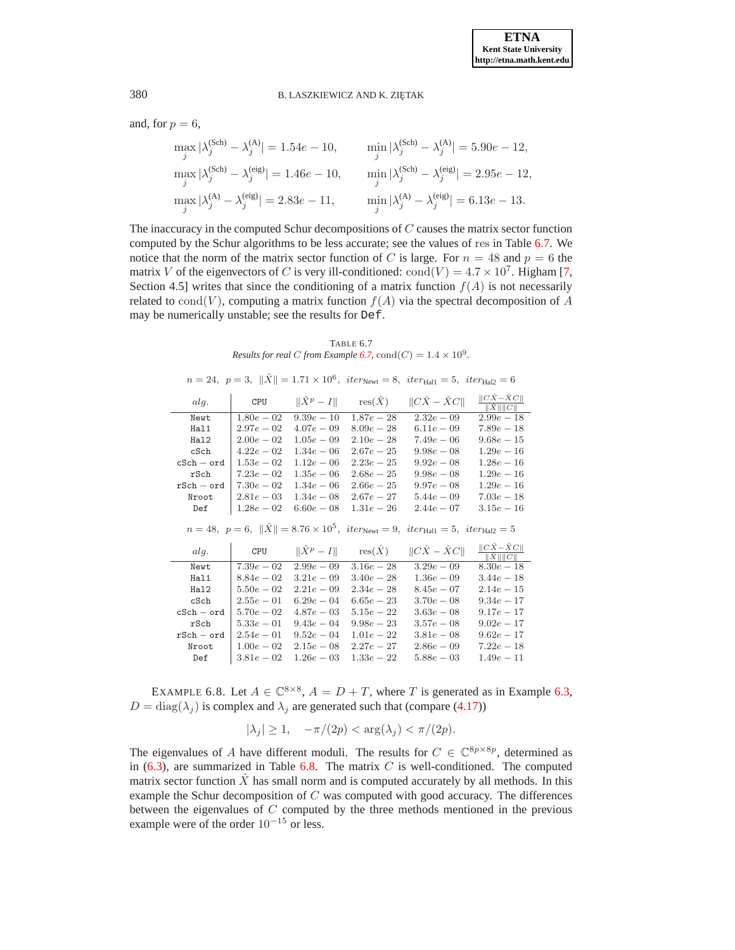and, for  $p = 6$ ,

$$
\max_{j} |\lambda_j^{(\text{Sch})} - \lambda_j^{(\text{A})}| = 1.54e - 10, \qquad \min_{j} |\lambda_j^{(\text{Sch})} - \lambda_j^{(\text{A})}| = 5.90e - 12,
$$
  

$$
\max_{j} |\lambda_j^{(\text{Sch})} - \lambda_j^{(\text{eig})}| = 1.46e - 10, \qquad \min_{j} |\lambda_j^{(\text{Sch})} - \lambda_j^{(\text{eig})}| = 2.95e - 12,
$$
  

$$
\max_{j} |\lambda_j^{(\text{A})} - \lambda_j^{(\text{eig})}| = 2.83e - 11, \qquad \min_{j} |\lambda_j^{(\text{A})} - \lambda_j^{(\text{eig})}| = 6.13e - 13.
$$

The inaccuracy in the computed Schur decompositions of  $C$  causes the matrix sector function computed by the Schur algorithms to be less accurate; see the values of res in Table [6.7.](#page-22-1) We notice that the norm of the matrix sector function of C is large. For  $n = 48$  and  $p = 6$  the matrix V of the eigenvectors of C is very ill-conditioned:  $\text{cond}(V) = 4.7 \times 10^7$ . Higham [\[7,](#page-24-0) Section 4.5] writes that since the conditioning of a matrix function  $f(A)$  is not necessarily related to cond(V), computing a matrix function  $f(A)$  via the spectral decomposition of A may be numerically unstable; see the results for Def.

TABLE 6.7 *Results for real C from Example* **6.7**,  $\text{cond}(C) = 1.4 \times 10^9$ .

<span id="page-22-1"></span>

|              |               |                   |                                     | $n = 24$ , $p = 3$ , $  X   = 1.71 \times 10^6$ , $iter_{\text{Newt}} = 8$ , $iter_{\text{Hall}} = 5$ , $iter_{\text{Hal2}} = 6$ |                                               |
|--------------|---------------|-------------------|-------------------------------------|----------------------------------------------------------------------------------------------------------------------------------|-----------------------------------------------|
| alg.         | CPU           | $\ \hat{X}^p-I\ $ | $res(\hat{X})$                      | $  C\hat{X} - \hat{X}C  $                                                                                                        | $  C\hat{X}-\hat{X}C  $<br>$\ \hat{X}\ \ C\ $ |
| Newt         | $1.80e - 0.2$ | $9.39e - 10$      | $1.87e - 28$                        | $2.32e - 09$                                                                                                                     | $2.99e - 18$                                  |
| Hal1         | $2.97e - 02$  | $4.07e - 09$      | $8.09e - 28$                        | $6.11e-09$                                                                                                                       | $7.89e - 18$                                  |
| Ha12         | $2.00e - 0.2$ | $1.05e - 0.9$     | $2.10e - 28$                        | $7.49e - 06$                                                                                                                     | $9.68e - 15$                                  |
| cSch         | $4.22e - 02$  | $1.34e - 06$      | $2.67e - 25$                        | $9.98e - 08$                                                                                                                     | $1.29e - 16$                                  |
| $cSch - ord$ | $1.53e - 02$  | $1.12e - 06$      | $2.23e - 25$                        | $9.92e - 08$                                                                                                                     | $1.28e - 16$                                  |
| rSch         | $7.23e - 02$  | $1.35e - 06$      | $2.68e - 25$                        | $9.98e - 08$                                                                                                                     | $1.29e - 16$                                  |
| $rSch - ord$ | $7.30e - 02$  | $1.34e - 06$      | $2.66e - 25$                        | $9.97e - 08$                                                                                                                     | $1.29e - 16$                                  |
| Nroot        | $2.81e - 03$  | $1.34e - 08$      | $2.67e - 27$                        | $5.44e - 09$                                                                                                                     | $7.03e - 18$                                  |
| Def          | $1.28e - 02$  | $6.60e - 08$      | $1.31e - 26$                        | $2.44e - 07$                                                                                                                     | $3.15e - 16$                                  |
|              |               |                   |                                     |                                                                                                                                  |                                               |
|              |               |                   |                                     | $n = 48, p = 6,   \hat{X}   = 8.76 \times 10^5, iter_{\text{Newt}} = 9, iter_{\text{Hall}} = 5, iter_{\text{Hall}} = 5$          |                                               |
| alg.         | CPU           |                   | $\ \hat{X}^p - I\ $ res $(\hat{X})$ | $  C\hat{X} - \hat{X}C  $                                                                                                        | $  C\hat{X}-\hat{X}C  $<br>$\ \hat{X}\ \ C\ $ |
| Newt         | $7.39e - 02$  | $2.99e - 0.9$     | $3.16e - 28$                        | $3.29e - 09$                                                                                                                     | $8.30e - 18$                                  |
| Hal1         | $8.84e - 02$  | $3.21e - 0.9$     | $3.40e - 28$                        | $1.36e - 09$                                                                                                                     | $3.44e - 18$                                  |
| Hal2         | $5.50e - 02$  | $2.21e-0.9$       | $2.34e - 28$                        | $8.45e - 07$                                                                                                                     | $2.14e - 15$                                  |
| cSch         | $2.55e - 01$  | $6.29e - 04$      | $6.65e - 23$                        | $3.70e - 08$                                                                                                                     | $9.34e - 17$                                  |
| $cSch - ord$ | $5.70e - 02$  | $4.87e - 03$      | $5.15e - 22$                        | $3.63e - 08$                                                                                                                     | $9.17e - 17$                                  |
| rSch         | $5.33e - 01$  | $9.43e - 04$      | $9.98e - 23$                        | $3.57e - 08$                                                                                                                     | $9.02e - 17$                                  |
| $rSch - ord$ | $2.54e - 01$  | $9.52e - 04$      | $1.01e - 22$                        | $3.81e - 08$                                                                                                                     | $9.62e - 17$                                  |
| Nroot        | $1.00e - 02$  | $2.15e-08$        | $2.27e - 27$                        | $2.86e - 09$                                                                                                                     | $7.22e - 18$                                  |

<span id="page-22-0"></span>EXAMPLE 6.8. Let  $A \in \mathbb{C}^{8 \times 8}$ ,  $A = D + T$ , where T is generated as in Example [6.3,](#page-19-4)  $D = \text{diag}(\lambda_i)$  is complex and  $\lambda_i$  are generated such that (compare [\(4.17\)](#page-10-6))

$$
|\lambda_j| \ge 1, \quad -\pi/(2p) < \arg(\lambda_j) < \pi/(2p).
$$

The eigenvalues of A have different moduli. The results for  $C \in \mathbb{C}^{8p \times 8p}$ , determined as in  $(6.3)$ , are summarized in Table [6.8.](#page-23-1) The matrix C is well-conditioned. The computed matrix sector function  $\ddot{X}$  has small norm and is computed accurately by all methods. In this example the Schur decomposition of  $C$  was computed with good accuracy. The differences between the eigenvalues of C computed by the three methods mentioned in the previous example were of the order  $10^{-15}$  or less.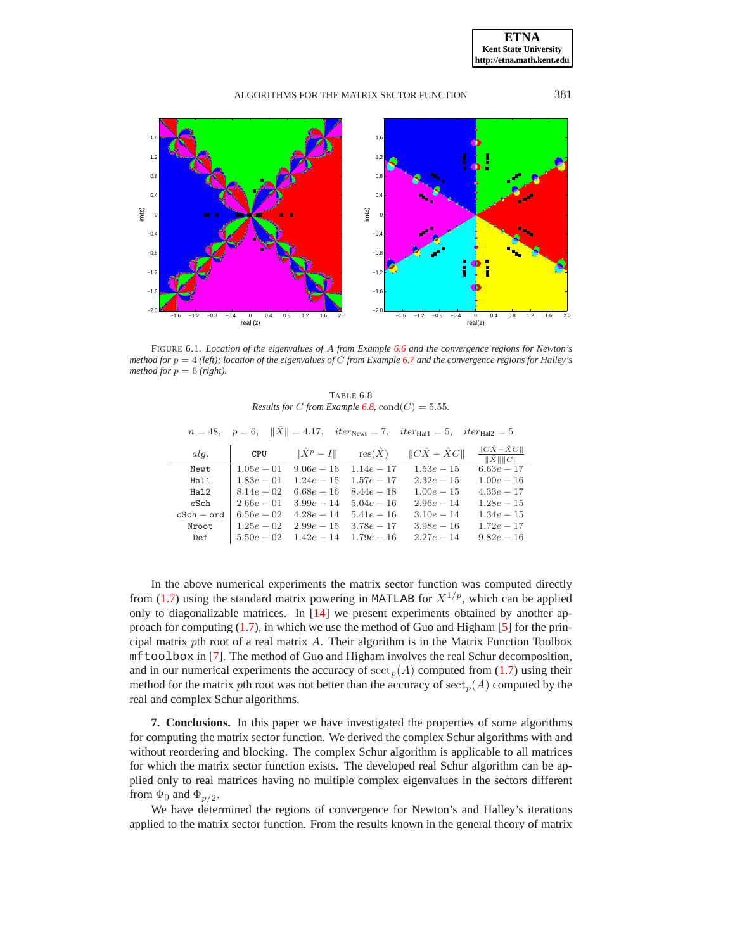

<span id="page-23-0"></span>FIGURE 6.1. Location of the eigenvalues of A from Example 6.6 and the convergence regions for Newton's method for  $p = 4$  (left); location of the eigenvalues of C from Example 6.7 and the convergence regions for Halley's method for  $p = 6$  (right).

TABLE 6.8 Results for C from Example 6.8,  $cond(C) = 5.55$ .

<span id="page-23-1"></span>

|              |              |              |                                     | $n = 48$ , $p = 6$ , $\ \hat{X}\  = 4.17$ , $iter_{\text{Newt}} = 7$ , $iter_{\text{Hall}} = 5$ , $iter_{\text{Hall}} = 5$ |                                               |
|--------------|--------------|--------------|-------------------------------------|----------------------------------------------------------------------------------------------------------------------------|-----------------------------------------------|
| ala.         | CPU          |              | $\ \hat{X}^p - I\ $ res $(\hat{X})$ | $  C\hat{X} - \hat{X}C  $                                                                                                  | $\ C\hat{X}-\hat{X}C\ $<br>$\ \hat{X}\ \ C\ $ |
| Newt         | $1.05e - 01$ | $9.06e - 16$ | $1.14e - 17$                        | $1.53e - 15$                                                                                                               | $6.63e - 17$                                  |
| Hal1         | $1.83e - 01$ | $1.24e - 15$ | $1.57e - 17$                        | $2.32e - 15$                                                                                                               | $1.00e-16$                                    |
| Hal2         | $8.14e - 02$ | $6.68e - 16$ | $8.44e - 18$                        | $1.00e-15$                                                                                                                 | $4.33e - 17$                                  |
| cSch         | $2.66e - 01$ | $3.99e - 14$ | $5.04e - 16$                        | $2.96e - 14$                                                                                                               | $1.28e - 15$                                  |
| $cSch - ord$ | $6.56e - 02$ | $4.28e - 14$ | $5.41e - 16$                        | $3.10e - 14$                                                                                                               | $1.34e - 15$                                  |
| Nroot        | $1.25e - 02$ | $2.99e - 15$ | $3.78e - 17$                        | $3.98e - 16$                                                                                                               | $1.72e - 17$                                  |
| Def          | $5.50e - 02$ | $1.42e - 14$ | $1.79e - 16$                        | $2.27e - 14$                                                                                                               | $9.82e - 16$                                  |

In the above numerical experiments the matrix sector function was computed directly from (1.7) using the standard matrix powering in MATLAB for  $X^{1/p}$ , which can be applied only to diagonalizable matrices. In [14] we present experiments obtained by another approach for computing  $(1.7)$ , in which we use the method of Guo and Higham [5] for the principal matrix pth root of a real matrix  $A$ . Their algorithm is in the Matrix Function Toolbox mf tool box in [7]. The method of Guo and Higham involves the real Schur decomposition, and in our numerical experiments the accuracy of  ${\rm sect}_p(A)$  computed from (1.7) using their method for the matrix pth root was not better than the accuracy of  $\operatorname{sect}_p(A)$  computed by the real and complex Schur algorithms.

7. Conclusions. In this paper we have investigated the properties of some algorithms for computing the matrix sector function. We derived the complex Schur algorithms with and without reordering and blocking. The complex Schur algorithm is applicable to all matrices for which the matrix sector function exists. The developed real Schur algorithm can be applied only to real matrices having no multiple complex eigenvalues in the sectors different from  $\Phi_0$  and  $\Phi_{p/2}$ .

We have determined the regions of convergence for Newton's and Halley's iterations applied to the matrix sector function. From the results known in the general theory of matrix

**ETNA Kent State University** http://etna.math.kent.edu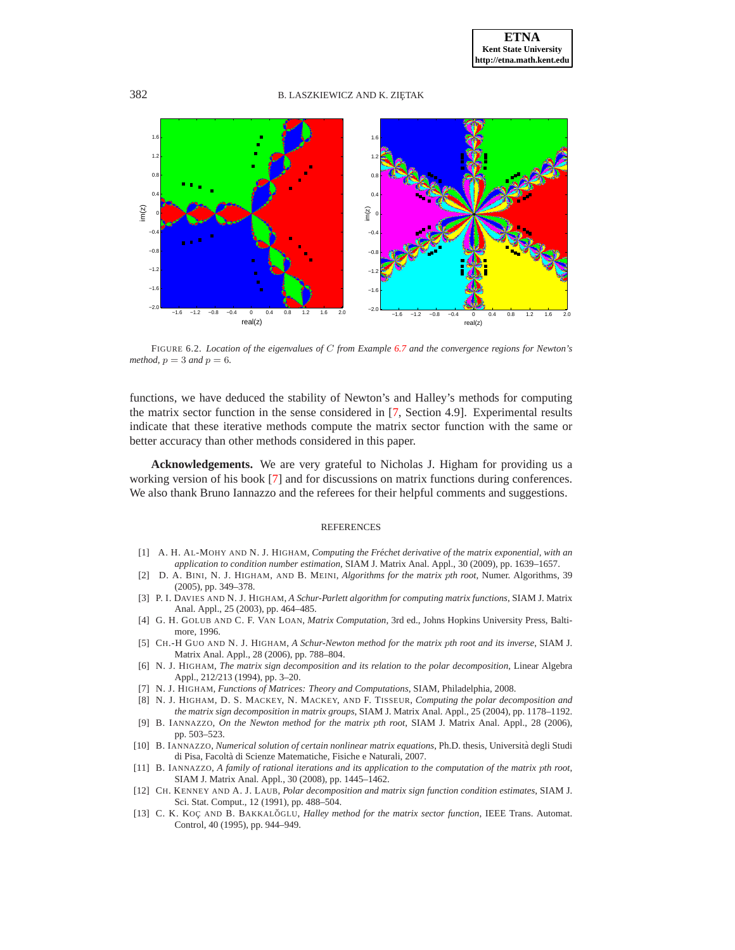

<span id="page-24-13"></span>FIGURE 6.2. *Location of the eigenvalues of* C *from Example [6.7](#page-21-0) and the convergence regions for Newton's method,*  $p = 3$  *and*  $p = 6$ *.* 

functions, we have deduced the stability of Newton's and Halley's methods for computing the matrix sector function in the sense considered in [\[7,](#page-24-0) Section 4.9]. Experimental results indicate that these iterative methods compute the matrix sector function with the same or better accuracy than other methods considered in this paper.

**Acknowledgements.** We are very grateful to Nicholas J. Higham for providing us a working version of his book [\[7\]](#page-24-0) and for discussions on matrix functions during conferences. We also thank Bruno Iannazzo and the referees for their helpful comments and suggestions.

#### REFERENCES

- <span id="page-24-7"></span><span id="page-24-4"></span>[1] A. H. AL-MOHY AND N. J. HIGHAM, *Computing the Frechet derivative of the matrix exponential, with an ´ application to condition number estimation*, SIAM J. Matrix Anal. Appl., 30 (2009), pp. 1639–1657.
- [2] D. A. BINI, N. J. HIGHAM, AND B. MEINI, *Algorithms for the matrix* p*th root*, Numer. Algorithms, 39 (2005), pp. 349–378.
- <span id="page-24-10"></span>[3] P. I. DAVIES AND N. J. HIGHAM, *A Schur-Parlett algorithm for computing matrix functions*, SIAM J. Matrix Anal. Appl., 25 (2003), pp. 464–485.
- <span id="page-24-9"></span>[4] G. H. GOLUB AND C. F. VAN LOAN, *Matrix Computation*, 3rd ed., Johns Hopkins University Press, Baltimore, 1996.
- <span id="page-24-12"></span>[5] CH.-H GUO AND N. J. HIGHAM, *A Schur-Newton method for the matrix* p*th root and its inverse*, SIAM J. Matrix Anal. Appl., 28 (2006), pp. 788–804.
- <span id="page-24-8"></span>[6] N. J. HIGHAM, *The matrix sign decomposition and its relation to the polar decomposition*, Linear Algebra Appl., 212/213 (1994), pp. 3–20.
- <span id="page-24-11"></span><span id="page-24-0"></span>[7] N. J. HIGHAM, *Functions of Matrices: Theory and Computations*, SIAM, Philadelphia, 2008.
- [8] N. J. HIGHAM, D. S. MACKEY, N. MACKEY, AND F. TISSEUR, *Computing the polar decomposition and the matrix sign decomposition in matrix groups*, SIAM J. Matrix Anal. Appl., 25 (2004), pp. 1178–1192.
- <span id="page-24-2"></span>[9] B. IANNAZZO, *On the Newton method for the matrix* p*th root*, SIAM J. Matrix Anal. Appl., 28 (2006), pp. 503–523.
- <span id="page-24-5"></span>[10] B. IANNAZZO, *Numerical solution of certain nonlinear matrix equations*, Ph.D. thesis, Universita degli Studi ` di Pisa, Facolta di Scienze Matematiche, Fisiche e Naturali, 2007. `
- <span id="page-24-3"></span>[11] B. IANNAZZO, *A family of rational iterations and its application to the computation of the matrix* p*th root*, SIAM J. Matrix Anal. Appl., 30 (2008), pp. 1445–1462.
- <span id="page-24-6"></span>[12] CH. KENNEY AND A. J. LAUB, *Polar decomposition and matrix sign function condition estimates*, SIAM J. Sci. Stat. Comput., 12 (1991), pp. 488–504.
- <span id="page-24-1"></span>[13] C. K. KOC AND B. BAKKALOGLU, *Halley method for the matrix sector function*, IEEE Trans. Automat. Control, 40 (1995), pp. 944–949.